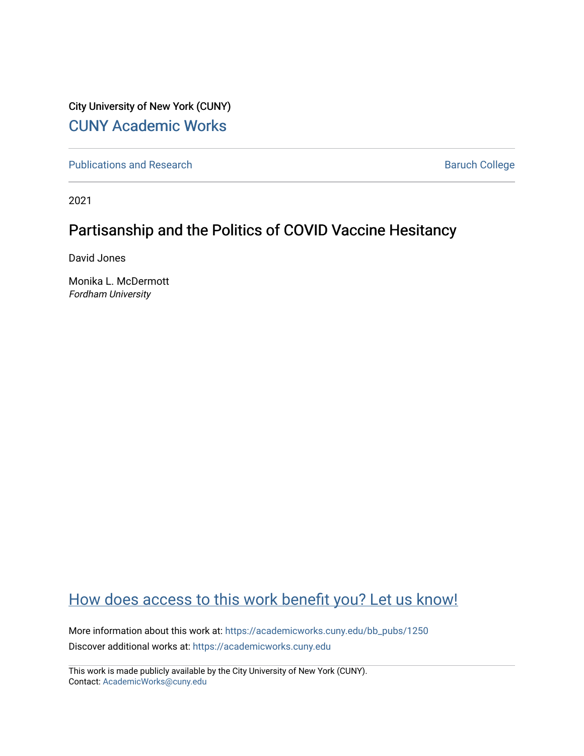City University of New York (CUNY) [CUNY Academic Works](https://academicworks.cuny.edu/) 

[Publications and Research](https://academicworks.cuny.edu/bb_pubs) **Baruch College** Baruch College

2021

# Partisanship and the Politics of COVID Vaccine Hesitancy

David Jones

Monika L. McDermott Fordham University

# [How does access to this work benefit you? Let us know!](http://ols.cuny.edu/academicworks/?ref=https://academicworks.cuny.edu/bb_pubs/1250)

More information about this work at: [https://academicworks.cuny.edu/bb\\_pubs/1250](https://academicworks.cuny.edu/bb_pubs/1250) Discover additional works at: [https://academicworks.cuny.edu](https://academicworks.cuny.edu/?)

This work is made publicly available by the City University of New York (CUNY). Contact: [AcademicWorks@cuny.edu](mailto:AcademicWorks@cuny.edu)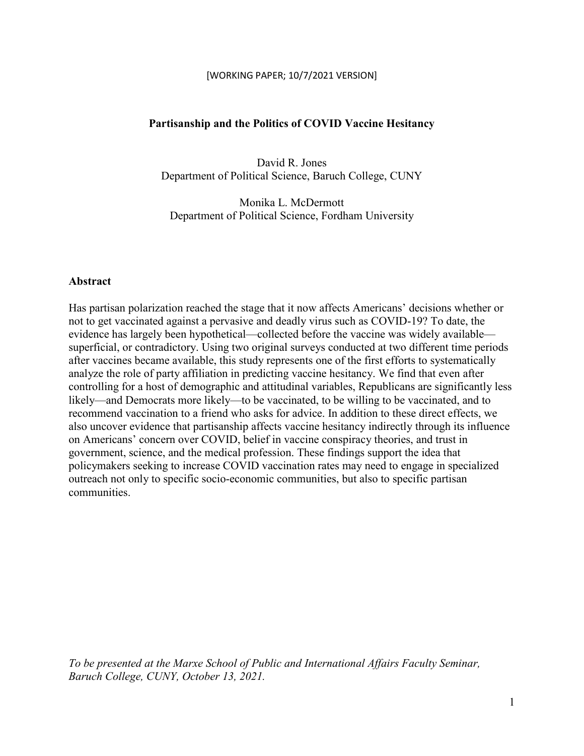#### [WORKING PAPER; 10/7/2021 VERSION]

#### **Partisanship and the Politics of COVID Vaccine Hesitancy**

David R. Jones Department of Political Science, Baruch College, CUNY

Monika L. McDermott Department of Political Science, Fordham University

#### **Abstract**

Has partisan polarization reached the stage that it now affects Americans' decisions whether or not to get vaccinated against a pervasive and deadly virus such as COVID-19? To date, the evidence has largely been hypothetical—collected before the vaccine was widely available superficial, or contradictory. Using two original surveys conducted at two different time periods after vaccines became available, this study represents one of the first efforts to systematically analyze the role of party affiliation in predicting vaccine hesitancy. We find that even after controlling for a host of demographic and attitudinal variables, Republicans are significantly less likely—and Democrats more likely—to be vaccinated, to be willing to be vaccinated, and to recommend vaccination to a friend who asks for advice. In addition to these direct effects, we also uncover evidence that partisanship affects vaccine hesitancy indirectly through its influence on Americans' concern over COVID, belief in vaccine conspiracy theories, and trust in government, science, and the medical profession. These findings support the idea that policymakers seeking to increase COVID vaccination rates may need to engage in specialized outreach not only to specific socio-economic communities, but also to specific partisan communities.

*To be presented at the Marxe School of Public and International Affairs Faculty Seminar, Baruch College, CUNY, October 13, 2021.*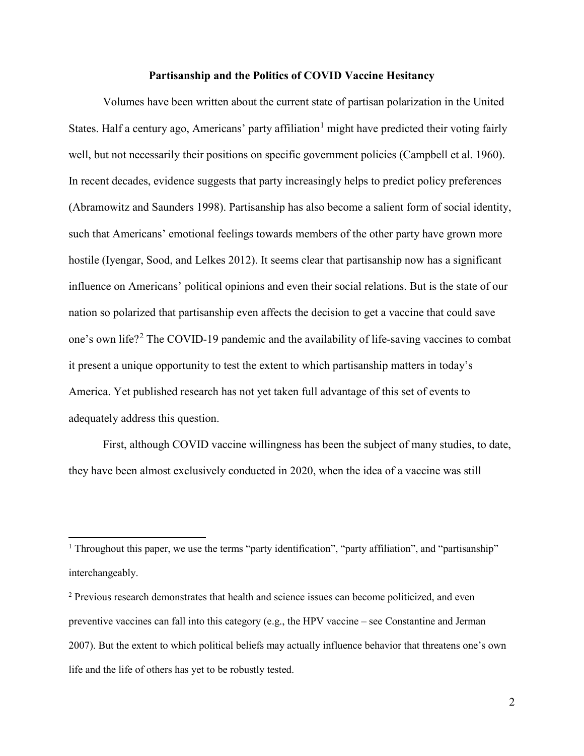#### **Partisanship and the Politics of COVID Vaccine Hesitancy**

Volumes have been written about the current state of partisan polarization in the United States. Half a century ago, Americans' party affiliation<sup>[1](#page-2-0)</sup> might have predicted their voting fairly well, but not necessarily their positions on specific government policies (Campbell et al. 1960). In recent decades, evidence suggests that party increasingly helps to predict policy preferences (Abramowitz and Saunders 1998). Partisanship has also become a salient form of social identity, such that Americans' emotional feelings towards members of the other party have grown more hostile (Iyengar, Sood, and Lelkes 2012). It seems clear that partisanship now has a significant influence on Americans' political opinions and even their social relations. But is the state of our nation so polarized that partisanship even affects the decision to get a vaccine that could save one's own life?[2](#page-2-1) The COVID-19 pandemic and the availability of life-saving vaccines to combat it present a unique opportunity to test the extent to which partisanship matters in today's America. Yet published research has not yet taken full advantage of this set of events to adequately address this question.

First, although COVID vaccine willingness has been the subject of many studies, to date, they have been almost exclusively conducted in 2020, when the idea of a vaccine was still

l

<span id="page-2-0"></span><sup>&</sup>lt;sup>1</sup> Throughout this paper, we use the terms "party identification", "party affiliation", and "partisanship" interchangeably.

<span id="page-2-1"></span><sup>&</sup>lt;sup>2</sup> Previous research demonstrates that health and science issues can become politicized, and even preventive vaccines can fall into this category (e.g., the HPV vaccine – see Constantine and Jerman 2007). But the extent to which political beliefs may actually influence behavior that threatens one's own life and the life of others has yet to be robustly tested.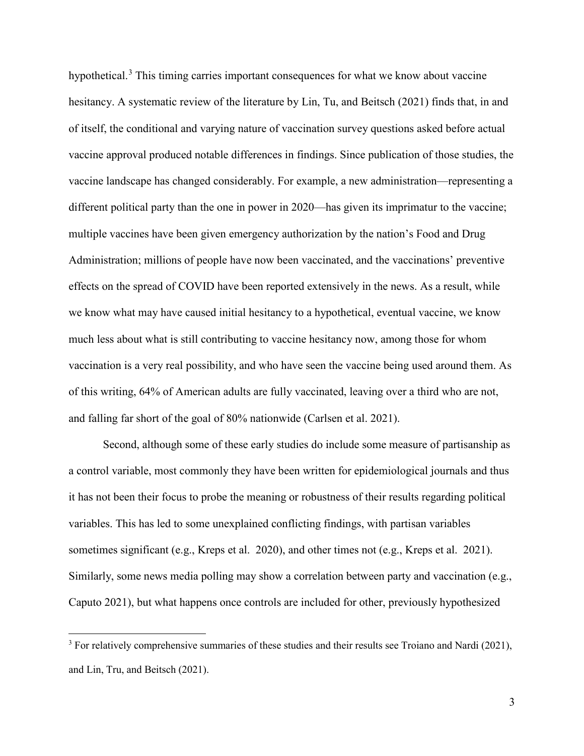hypothetical.<sup>[3](#page-3-0)</sup> This timing carries important consequences for what we know about vaccine hesitancy. A systematic review of the literature by Lin, Tu, and Beitsch (2021) finds that, in and of itself, the conditional and varying nature of vaccination survey questions asked before actual vaccine approval produced notable differences in findings. Since publication of those studies, the vaccine landscape has changed considerably. For example, a new administration—representing a different political party than the one in power in 2020—has given its imprimatur to the vaccine; multiple vaccines have been given emergency authorization by the nation's Food and Drug Administration; millions of people have now been vaccinated, and the vaccinations' preventive effects on the spread of COVID have been reported extensively in the news. As a result, while we know what may have caused initial hesitancy to a hypothetical, eventual vaccine, we know much less about what is still contributing to vaccine hesitancy now, among those for whom vaccination is a very real possibility, and who have seen the vaccine being used around them. As of this writing, 64% of American adults are fully vaccinated, leaving over a third who are not, and falling far short of the goal of 80% nationwide (Carlsen et al. 2021).

Second, although some of these early studies do include some measure of partisanship as a control variable, most commonly they have been written for epidemiological journals and thus it has not been their focus to probe the meaning or robustness of their results regarding political variables. This has led to some unexplained conflicting findings, with partisan variables sometimes significant (e.g., Kreps et al. 2020), and other times not (e.g., Kreps et al. 2021). Similarly, some news media polling may show a correlation between party and vaccination (e.g., Caputo 2021), but what happens once controls are included for other, previously hypothesized

 $\overline{a}$ 

<span id="page-3-0"></span><sup>&</sup>lt;sup>3</sup> For relatively comprehensive summaries of these studies and their results see Troiano and Nardi (2021), and Lin, Tru, and Beitsch (2021).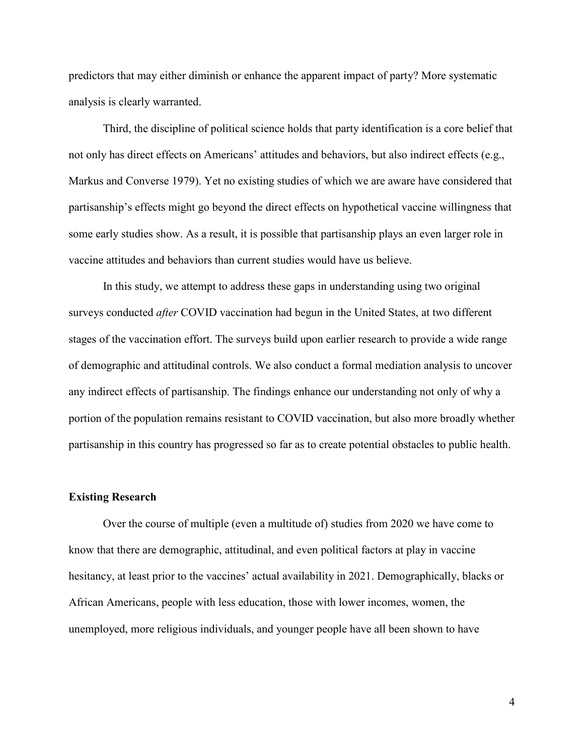predictors that may either diminish or enhance the apparent impact of party? More systematic analysis is clearly warranted.

Third, the discipline of political science holds that party identification is a core belief that not only has direct effects on Americans' attitudes and behaviors, but also indirect effects (e.g., Markus and Converse 1979). Yet no existing studies of which we are aware have considered that partisanship's effects might go beyond the direct effects on hypothetical vaccine willingness that some early studies show. As a result, it is possible that partisanship plays an even larger role in vaccine attitudes and behaviors than current studies would have us believe.

In this study, we attempt to address these gaps in understanding using two original surveys conducted *after* COVID vaccination had begun in the United States, at two different stages of the vaccination effort. The surveys build upon earlier research to provide a wide range of demographic and attitudinal controls. We also conduct a formal mediation analysis to uncover any indirect effects of partisanship. The findings enhance our understanding not only of why a portion of the population remains resistant to COVID vaccination, but also more broadly whether partisanship in this country has progressed so far as to create potential obstacles to public health.

#### **Existing Research**

Over the course of multiple (even a multitude of) studies from 2020 we have come to know that there are demographic, attitudinal, and even political factors at play in vaccine hesitancy, at least prior to the vaccines' actual availability in 2021. Demographically, blacks or African Americans, people with less education, those with lower incomes, women, the unemployed, more religious individuals, and younger people have all been shown to have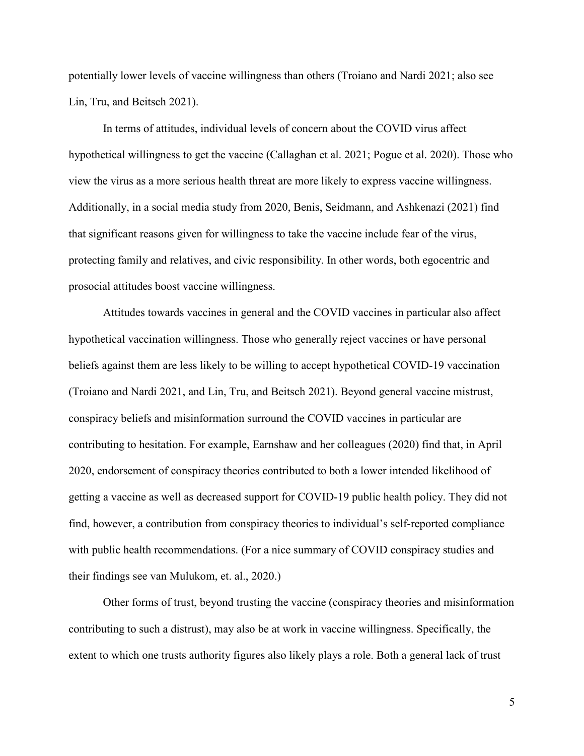potentially lower levels of vaccine willingness than others (Troiano and Nardi 2021; also see Lin, Tru, and Beitsch 2021).

In terms of attitudes, individual levels of concern about the COVID virus affect hypothetical willingness to get the vaccine (Callaghan et al. 2021; Pogue et al. 2020). Those who view the virus as a more serious health threat are more likely to express vaccine willingness. Additionally, in a social media study from 2020, Benis, Seidmann, and Ashkenazi (2021) find that significant reasons given for willingness to take the vaccine include fear of the virus, protecting family and relatives, and civic responsibility. In other words, both egocentric and prosocial attitudes boost vaccine willingness.

Attitudes towards vaccines in general and the COVID vaccines in particular also affect hypothetical vaccination willingness. Those who generally reject vaccines or have personal beliefs against them are less likely to be willing to accept hypothetical COVID-19 vaccination (Troiano and Nardi 2021, and Lin, Tru, and Beitsch 2021). Beyond general vaccine mistrust, conspiracy beliefs and misinformation surround the COVID vaccines in particular are contributing to hesitation. For example, Earnshaw and her colleagues (2020) find that, in April 2020, endorsement of conspiracy theories contributed to both a lower intended likelihood of getting a vaccine as well as decreased support for COVID-19 public health policy. They did not find, however, a contribution from conspiracy theories to individual's self-reported compliance with public health recommendations. (For a nice summary of COVID conspiracy studies and their findings see van Mulukom, et. al., 2020.)

Other forms of trust, beyond trusting the vaccine (conspiracy theories and misinformation contributing to such a distrust), may also be at work in vaccine willingness. Specifically, the extent to which one trusts authority figures also likely plays a role. Both a general lack of trust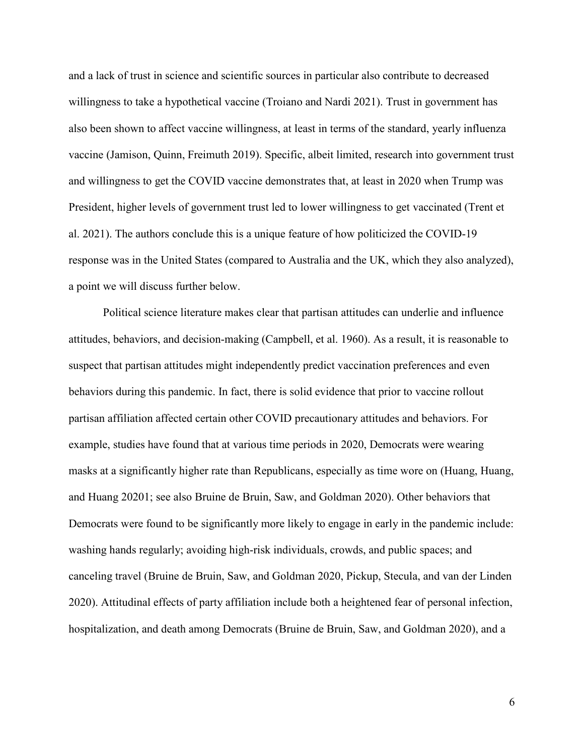and a lack of trust in science and scientific sources in particular also contribute to decreased willingness to take a hypothetical vaccine (Troiano and Nardi 2021). Trust in government has also been shown to affect vaccine willingness, at least in terms of the standard, yearly influenza vaccine (Jamison, Quinn, Freimuth 2019). Specific, albeit limited, research into government trust and willingness to get the COVID vaccine demonstrates that, at least in 2020 when Trump was President, higher levels of government trust led to lower willingness to get vaccinated (Trent et al. 2021). The authors conclude this is a unique feature of how politicized the COVID-19 response was in the United States (compared to Australia and the UK, which they also analyzed), a point we will discuss further below.

Political science literature makes clear that partisan attitudes can underlie and influence attitudes, behaviors, and decision-making (Campbell, et al. 1960). As a result, it is reasonable to suspect that partisan attitudes might independently predict vaccination preferences and even behaviors during this pandemic. In fact, there is solid evidence that prior to vaccine rollout partisan affiliation affected certain other COVID precautionary attitudes and behaviors. For example, studies have found that at various time periods in 2020, Democrats were wearing masks at a significantly higher rate than Republicans, especially as time wore on (Huang, Huang, and Huang 20201; see also Bruine de Bruin, Saw, and Goldman 2020). Other behaviors that Democrats were found to be significantly more likely to engage in early in the pandemic include: washing hands regularly; avoiding high-risk individuals, crowds, and public spaces; and canceling travel (Bruine de Bruin, Saw, and Goldman 2020, Pickup, Stecula, and van der Linden 2020). Attitudinal effects of party affiliation include both a heightened fear of personal infection, hospitalization, and death among Democrats (Bruine de Bruin, Saw, and Goldman 2020), and a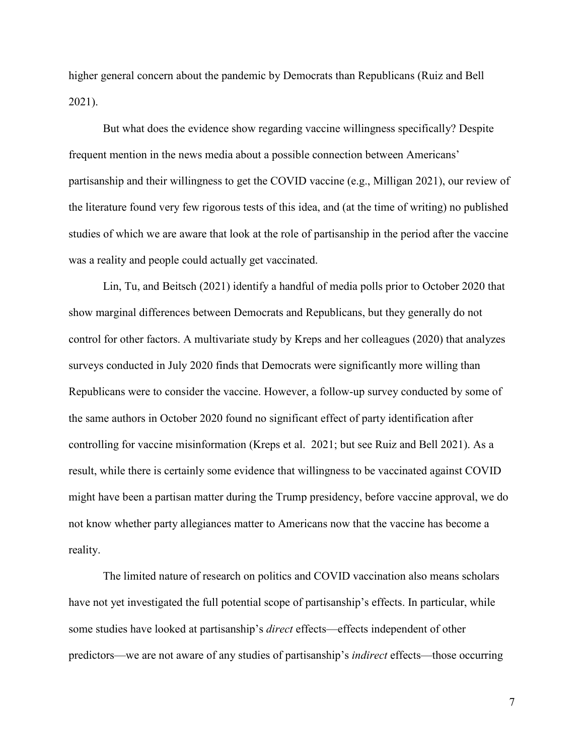higher general concern about the pandemic by Democrats than Republicans (Ruiz and Bell 2021).

But what does the evidence show regarding vaccine willingness specifically? Despite frequent mention in the news media about a possible connection between Americans' partisanship and their willingness to get the COVID vaccine (e.g., Milligan 2021), our review of the literature found very few rigorous tests of this idea, and (at the time of writing) no published studies of which we are aware that look at the role of partisanship in the period after the vaccine was a reality and people could actually get vaccinated.

Lin, Tu, and Beitsch (2021) identify a handful of media polls prior to October 2020 that show marginal differences between Democrats and Republicans, but they generally do not control for other factors. A multivariate study by Kreps and her colleagues (2020) that analyzes surveys conducted in July 2020 finds that Democrats were significantly more willing than Republicans were to consider the vaccine. However, a follow-up survey conducted by some of the same authors in October 2020 found no significant effect of party identification after controlling for vaccine misinformation (Kreps et al. 2021; but see Ruiz and Bell 2021). As a result, while there is certainly some evidence that willingness to be vaccinated against COVID might have been a partisan matter during the Trump presidency, before vaccine approval, we do not know whether party allegiances matter to Americans now that the vaccine has become a reality.

The limited nature of research on politics and COVID vaccination also means scholars have not yet investigated the full potential scope of partisanship's effects. In particular, while some studies have looked at partisanship's *direct* effects—effects independent of other predictors—we are not aware of any studies of partisanship's *indirect* effects—those occurring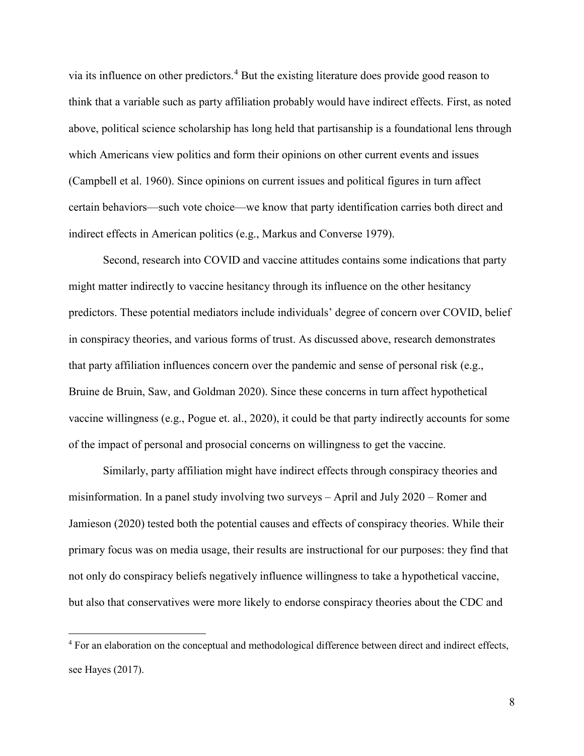via its influence on other predictors.[4](#page-8-0) But the existing literature does provide good reason to think that a variable such as party affiliation probably would have indirect effects. First, as noted above, political science scholarship has long held that partisanship is a foundational lens through which Americans view politics and form their opinions on other current events and issues (Campbell et al. 1960). Since opinions on current issues and political figures in turn affect certain behaviors—such vote choice—we know that party identification carries both direct and indirect effects in American politics (e.g., Markus and Converse 1979).

Second, research into COVID and vaccine attitudes contains some indications that party might matter indirectly to vaccine hesitancy through its influence on the other hesitancy predictors. These potential mediators include individuals' degree of concern over COVID, belief in conspiracy theories, and various forms of trust. As discussed above, research demonstrates that party affiliation influences concern over the pandemic and sense of personal risk (e.g., Bruine de Bruin, Saw, and Goldman 2020). Since these concerns in turn affect hypothetical vaccine willingness (e.g., Pogue et. al., 2020), it could be that party indirectly accounts for some of the impact of personal and prosocial concerns on willingness to get the vaccine.

Similarly, party affiliation might have indirect effects through conspiracy theories and misinformation. In a panel study involving two surveys – April and July 2020 – Romer and Jamieson (2020) tested both the potential causes and effects of conspiracy theories. While their primary focus was on media usage, their results are instructional for our purposes: they find that not only do conspiracy beliefs negatively influence willingness to take a hypothetical vaccine, but also that conservatives were more likely to endorse conspiracy theories about the CDC and

 $\overline{a}$ 

<span id="page-8-0"></span><sup>&</sup>lt;sup>4</sup> For an elaboration on the conceptual and methodological difference between direct and indirect effects, see Hayes (2017).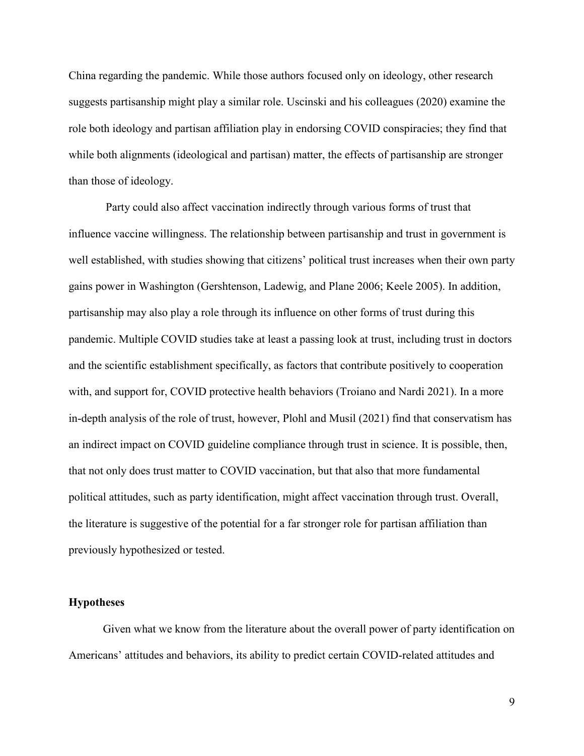China regarding the pandemic. While those authors focused only on ideology, other research suggests partisanship might play a similar role. Uscinski and his colleagues (2020) examine the role both ideology and partisan affiliation play in endorsing COVID conspiracies; they find that while both alignments (ideological and partisan) matter, the effects of partisanship are stronger than those of ideology.

Party could also affect vaccination indirectly through various forms of trust that influence vaccine willingness. The relationship between partisanship and trust in government is well established, with studies showing that citizens' political trust increases when their own party gains power in Washington (Gershtenson, Ladewig, and Plane 2006; Keele 2005). In addition, partisanship may also play a role through its influence on other forms of trust during this pandemic. Multiple COVID studies take at least a passing look at trust, including trust in doctors and the scientific establishment specifically, as factors that contribute positively to cooperation with, and support for, COVID protective health behaviors (Troiano and Nardi 2021). In a more in-depth analysis of the role of trust, however, Plohl and Musil (2021) find that conservatism has an indirect impact on COVID guideline compliance through trust in science. It is possible, then, that not only does trust matter to COVID vaccination, but that also that more fundamental political attitudes, such as party identification, might affect vaccination through trust. Overall, the literature is suggestive of the potential for a far stronger role for partisan affiliation than previously hypothesized or tested.

#### **Hypotheses**

Given what we know from the literature about the overall power of party identification on Americans' attitudes and behaviors, its ability to predict certain COVID-related attitudes and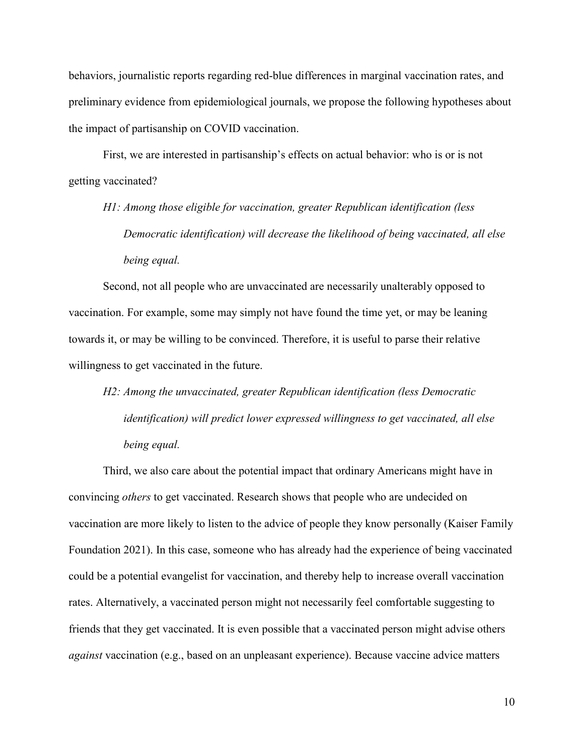behaviors, journalistic reports regarding red-blue differences in marginal vaccination rates, and preliminary evidence from epidemiological journals, we propose the following hypotheses about the impact of partisanship on COVID vaccination.

First, we are interested in partisanship's effects on actual behavior: who is or is not getting vaccinated?

*H1: Among those eligible for vaccination, greater Republican identification (less Democratic identification) will decrease the likelihood of being vaccinated, all else being equal.*

Second, not all people who are unvaccinated are necessarily unalterably opposed to vaccination. For example, some may simply not have found the time yet, or may be leaning towards it, or may be willing to be convinced. Therefore, it is useful to parse their relative willingness to get vaccinated in the future.

*H2: Among the unvaccinated, greater Republican identification (less Democratic identification) will predict lower expressed willingness to get vaccinated, all else being equal.*

Third, we also care about the potential impact that ordinary Americans might have in convincing *others* to get vaccinated. Research shows that people who are undecided on vaccination are more likely to listen to the advice of people they know personally (Kaiser Family Foundation 2021). In this case, someone who has already had the experience of being vaccinated could be a potential evangelist for vaccination, and thereby help to increase overall vaccination rates. Alternatively, a vaccinated person might not necessarily feel comfortable suggesting to friends that they get vaccinated. It is even possible that a vaccinated person might advise others *against* vaccination (e.g., based on an unpleasant experience). Because vaccine advice matters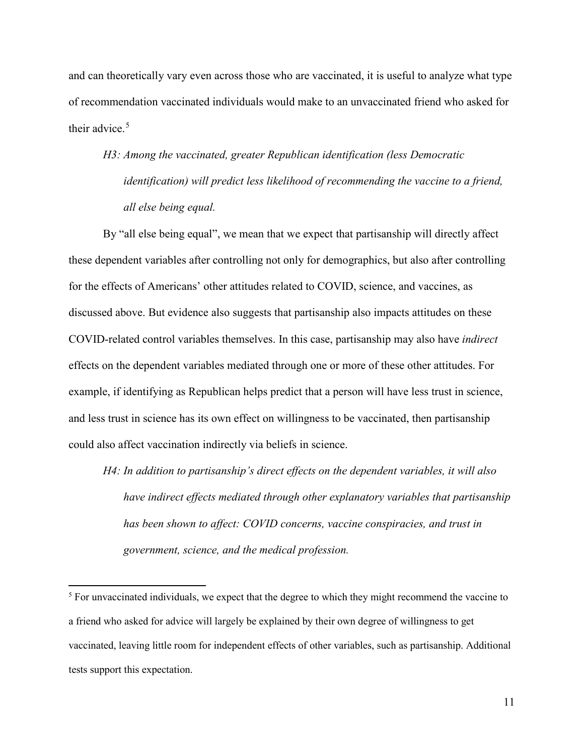and can theoretically vary even across those who are vaccinated, it is useful to analyze what type of recommendation vaccinated individuals would make to an unvaccinated friend who asked for their advice.<sup>[5](#page-11-0)</sup>

# *H3: Among the vaccinated, greater Republican identification (less Democratic identification) will predict less likelihood of recommending the vaccine to a friend, all else being equal.*

By "all else being equal", we mean that we expect that partisanship will directly affect these dependent variables after controlling not only for demographics, but also after controlling for the effects of Americans' other attitudes related to COVID, science, and vaccines, as discussed above. But evidence also suggests that partisanship also impacts attitudes on these COVID-related control variables themselves. In this case, partisanship may also have *indirect* effects on the dependent variables mediated through one or more of these other attitudes. For example, if identifying as Republican helps predict that a person will have less trust in science, and less trust in science has its own effect on willingness to be vaccinated, then partisanship could also affect vaccination indirectly via beliefs in science.

*H4: In addition to partisanship's direct effects on the dependent variables, it will also have indirect effects mediated through other explanatory variables that partisanship has been shown to affect: COVID concerns, vaccine conspiracies, and trust in government, science, and the medical profession.*

l

<span id="page-11-0"></span><sup>&</sup>lt;sup>5</sup> For unvaccinated individuals, we expect that the degree to which they might recommend the vaccine to a friend who asked for advice will largely be explained by their own degree of willingness to get vaccinated, leaving little room for independent effects of other variables, such as partisanship. Additional tests support this expectation.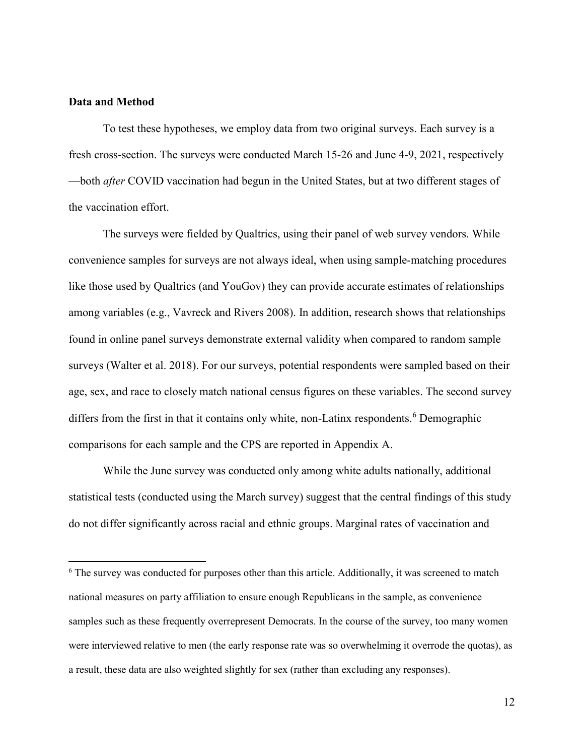#### **Data and Method**

 $\overline{\phantom{a}}$ 

To test these hypotheses, we employ data from two original surveys. Each survey is a fresh cross-section. The surveys were conducted March 15-26 and June 4-9, 2021, respectively —both *after* COVID vaccination had begun in the United States, but at two different stages of the vaccination effort.

The surveys were fielded by Qualtrics, using their panel of web survey vendors. While convenience samples for surveys are not always ideal, when using sample-matching procedures like those used by Qualtrics (and YouGov) they can provide accurate estimates of relationships among variables (e.g., Vavreck and Rivers 2008). In addition, research shows that relationships found in online panel surveys demonstrate external validity when compared to random sample surveys (Walter et al. 2018). For our surveys, potential respondents were sampled based on their age, sex, and race to closely match national census figures on these variables. The second survey differs from the first in that it contains only white, non-Latinx respondents.<sup>[6](#page-12-0)</sup> Demographic comparisons for each sample and the CPS are reported in Appendix A.

While the June survey was conducted only among white adults nationally, additional statistical tests (conducted using the March survey) suggest that the central findings of this study do not differ significantly across racial and ethnic groups. Marginal rates of vaccination and

<span id="page-12-0"></span><sup>&</sup>lt;sup>6</sup> The survey was conducted for purposes other than this article. Additionally, it was screened to match national measures on party affiliation to ensure enough Republicans in the sample, as convenience samples such as these frequently overrepresent Democrats. In the course of the survey, too many women were interviewed relative to men (the early response rate was so overwhelming it overrode the quotas), as a result, these data are also weighted slightly for sex (rather than excluding any responses).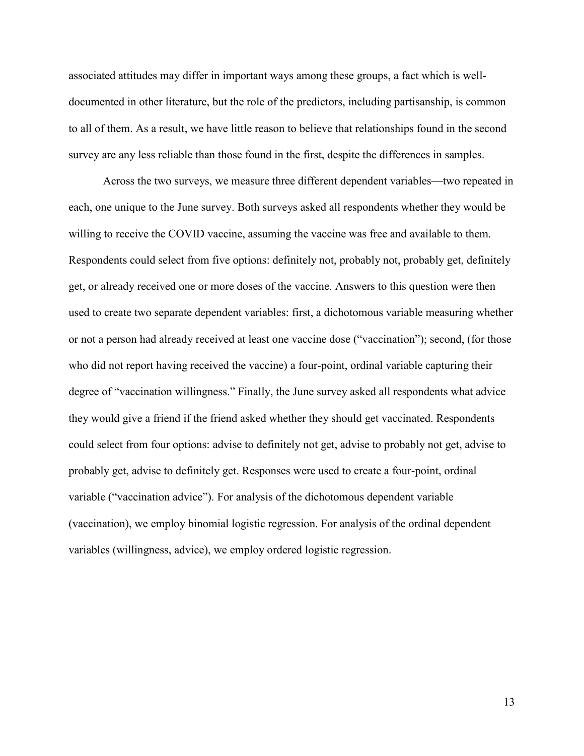associated attitudes may differ in important ways among these groups, a fact which is welldocumented in other literature, but the role of the predictors, including partisanship, is common to all of them. As a result, we have little reason to believe that relationships found in the second survey are any less reliable than those found in the first, despite the differences in samples.

Across the two surveys, we measure three different dependent variables—two repeated in each, one unique to the June survey. Both surveys asked all respondents whether they would be willing to receive the COVID vaccine, assuming the vaccine was free and available to them. Respondents could select from five options: definitely not, probably not, probably get, definitely get, or already received one or more doses of the vaccine. Answers to this question were then used to create two separate dependent variables: first, a dichotomous variable measuring whether or not a person had already received at least one vaccine dose ("vaccination"); second, (for those who did not report having received the vaccine) a four-point, ordinal variable capturing their degree of "vaccination willingness." Finally, the June survey asked all respondents what advice they would give a friend if the friend asked whether they should get vaccinated. Respondents could select from four options: advise to definitely not get, advise to probably not get, advise to probably get, advise to definitely get. Responses were used to create a four-point, ordinal variable ("vaccination advice"). For analysis of the dichotomous dependent variable (vaccination), we employ binomial logistic regression. For analysis of the ordinal dependent variables (willingness, advice), we employ ordered logistic regression.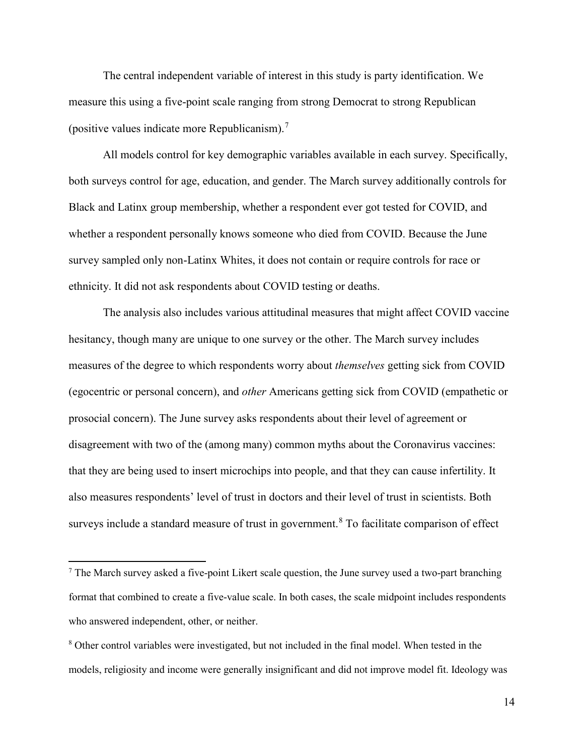The central independent variable of interest in this study is party identification. We measure this using a five-point scale ranging from strong Democrat to strong Republican (positive values indicate more Republicanism).<sup>[7](#page-14-0)</sup>

All models control for key demographic variables available in each survey. Specifically, both surveys control for age, education, and gender. The March survey additionally controls for Black and Latinx group membership, whether a respondent ever got tested for COVID, and whether a respondent personally knows someone who died from COVID. Because the June survey sampled only non-Latinx Whites, it does not contain or require controls for race or ethnicity. It did not ask respondents about COVID testing or deaths.

The analysis also includes various attitudinal measures that might affect COVID vaccine hesitancy, though many are unique to one survey or the other. The March survey includes measures of the degree to which respondents worry about *themselves* getting sick from COVID (egocentric or personal concern), and *other* Americans getting sick from COVID (empathetic or prosocial concern). The June survey asks respondents about their level of agreement or disagreement with two of the (among many) common myths about the Coronavirus vaccines: that they are being used to insert microchips into people, and that they can cause infertility. It also measures respondents' level of trust in doctors and their level of trust in scientists. Both surveys include a standard measure of trust in government.<sup>[8](#page-14-1)</sup> To facilitate comparison of effect

 $\overline{\phantom{a}}$ 

<span id="page-14-0"></span> $<sup>7</sup>$  The March survey asked a five-point Likert scale question, the June survey used a two-part branching</sup> format that combined to create a five-value scale. In both cases, the scale midpoint includes respondents who answered independent, other, or neither.

<span id="page-14-1"></span><sup>&</sup>lt;sup>8</sup> Other control variables were investigated, but not included in the final model. When tested in the models, religiosity and income were generally insignificant and did not improve model fit. Ideology was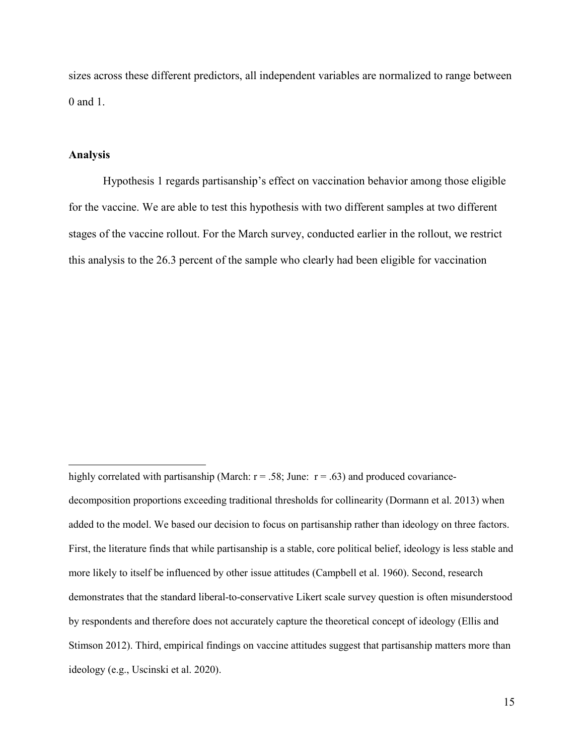sizes across these different predictors, all independent variables are normalized to range between 0 and 1.

#### **Analysis**

 $\overline{a}$ 

Hypothesis 1 regards partisanship's effect on vaccination behavior among those eligible for the vaccine. We are able to test this hypothesis with two different samples at two different stages of the vaccine rollout. For the March survey, conducted earlier in the rollout, we restrict this analysis to the 26.3 percent of the sample who clearly had been eligible for vaccination

decomposition proportions exceeding traditional thresholds for collinearity (Dormann et al. 2013) when added to the model. We based our decision to focus on partisanship rather than ideology on three factors. First, the literature finds that while partisanship is a stable, core political belief, ideology is less stable and more likely to itself be influenced by other issue attitudes (Campbell et al. 1960). Second, research demonstrates that the standard liberal-to-conservative Likert scale survey question is often misunderstood by respondents and therefore does not accurately capture the theoretical concept of ideology (Ellis and Stimson 2012). Third, empirical findings on vaccine attitudes suggest that partisanship matters more than ideology (e.g., Uscinski et al. 2020).

highly correlated with partisanship (March:  $r = .58$ ; June:  $r = .63$ ) and produced covariance-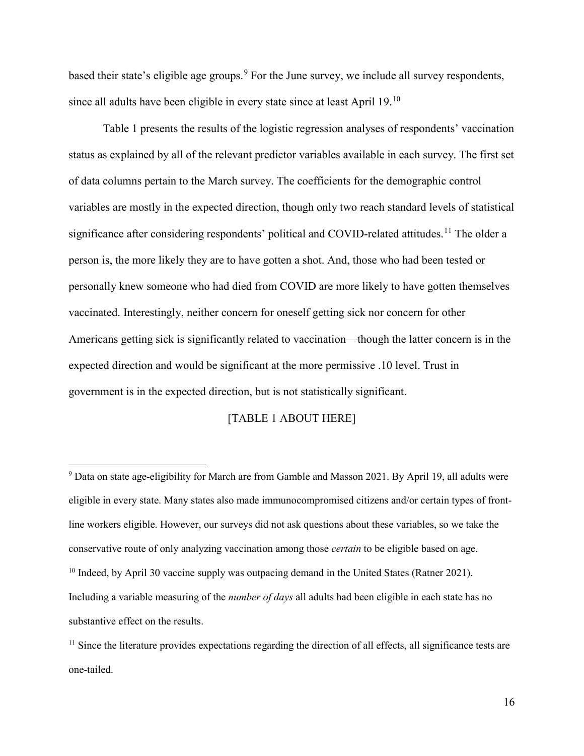based their state's eligible age groups.<sup>[9](#page-16-0)</sup> For the June survey, we include all survey respondents, since all adults have been eligible in every state since at least April 19.[10](#page-16-1)

Table 1 presents the results of the logistic regression analyses of respondents' vaccination status as explained by all of the relevant predictor variables available in each survey. The first set of data columns pertain to the March survey. The coefficients for the demographic control variables are mostly in the expected direction, though only two reach standard levels of statistical significance after considering respondents' political and COVID-related attitudes.<sup>[11](#page-16-2)</sup> The older a person is, the more likely they are to have gotten a shot. And, those who had been tested or personally knew someone who had died from COVID are more likely to have gotten themselves vaccinated. Interestingly, neither concern for oneself getting sick nor concern for other Americans getting sick is significantly related to vaccination—though the latter concern is in the expected direction and would be significant at the more permissive .10 level. Trust in government is in the expected direction, but is not statistically significant.

### [TABLE 1 ABOUT HERE]

 $\overline{a}$ 

<span id="page-16-0"></span><sup>9</sup> Data on state age-eligibility for March are from Gamble and Masson 2021. By April 19, all adults were eligible in every state. Many states also made immunocompromised citizens and/or certain types of frontline workers eligible. However, our surveys did not ask questions about these variables, so we take the conservative route of only analyzing vaccination among those *certain* to be eligible based on age. <sup>10</sup> Indeed, by April 30 vaccine supply was outpacing demand in the United States (Ratner 2021). Including a variable measuring of the *number of days* all adults had been eligible in each state has no substantive effect on the results.

<span id="page-16-2"></span><span id="page-16-1"></span><sup>&</sup>lt;sup>11</sup> Since the literature provides expectations regarding the direction of all effects, all significance tests are one-tailed.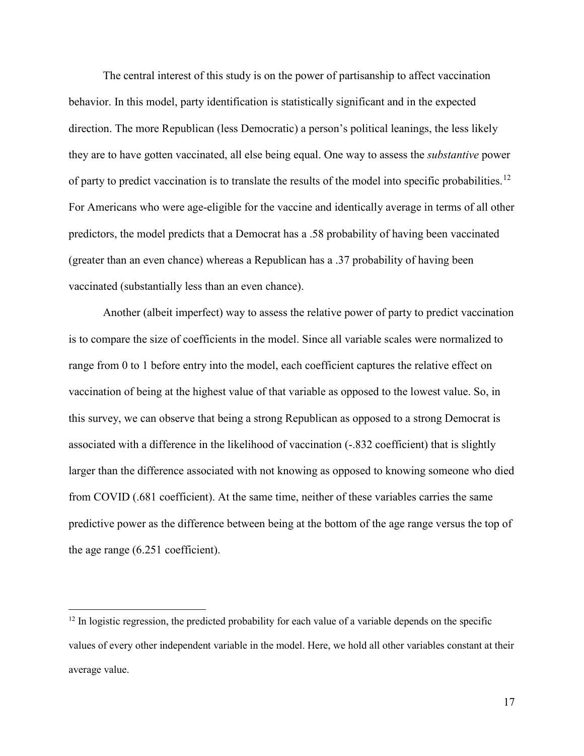The central interest of this study is on the power of partisanship to affect vaccination behavior. In this model, party identification is statistically significant and in the expected direction. The more Republican (less Democratic) a person's political leanings, the less likely they are to have gotten vaccinated, all else being equal. One way to assess the *substantive* power of party to predict vaccination is to translate the results of the model into specific probabilities.<sup>[12](#page-17-0)</sup> For Americans who were age-eligible for the vaccine and identically average in terms of all other predictors, the model predicts that a Democrat has a .58 probability of having been vaccinated (greater than an even chance) whereas a Republican has a .37 probability of having been vaccinated (substantially less than an even chance).

Another (albeit imperfect) way to assess the relative power of party to predict vaccination is to compare the size of coefficients in the model. Since all variable scales were normalized to range from 0 to 1 before entry into the model, each coefficient captures the relative effect on vaccination of being at the highest value of that variable as opposed to the lowest value. So, in this survey, we can observe that being a strong Republican as opposed to a strong Democrat is associated with a difference in the likelihood of vaccination (-.832 coefficient) that is slightly larger than the difference associated with not knowing as opposed to knowing someone who died from COVID (.681 coefficient). At the same time, neither of these variables carries the same predictive power as the difference between being at the bottom of the age range versus the top of the age range (6.251 coefficient).

 $\overline{\phantom{a}}$ 

<span id="page-17-0"></span> $12$  In logistic regression, the predicted probability for each value of a variable depends on the specific values of every other independent variable in the model. Here, we hold all other variables constant at their average value.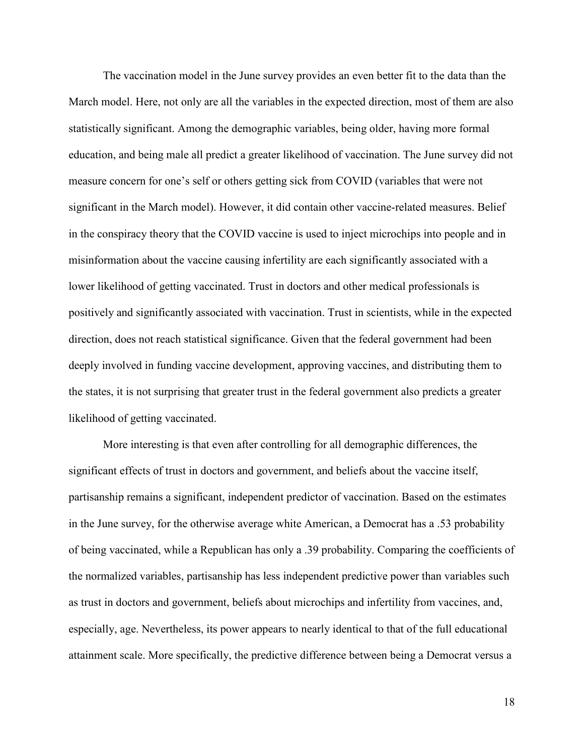The vaccination model in the June survey provides an even better fit to the data than the March model. Here, not only are all the variables in the expected direction, most of them are also statistically significant. Among the demographic variables, being older, having more formal education, and being male all predict a greater likelihood of vaccination. The June survey did not measure concern for one's self or others getting sick from COVID (variables that were not significant in the March model). However, it did contain other vaccine-related measures. Belief in the conspiracy theory that the COVID vaccine is used to inject microchips into people and in misinformation about the vaccine causing infertility are each significantly associated with a lower likelihood of getting vaccinated. Trust in doctors and other medical professionals is positively and significantly associated with vaccination. Trust in scientists, while in the expected direction, does not reach statistical significance. Given that the federal government had been deeply involved in funding vaccine development, approving vaccines, and distributing them to the states, it is not surprising that greater trust in the federal government also predicts a greater likelihood of getting vaccinated.

More interesting is that even after controlling for all demographic differences, the significant effects of trust in doctors and government, and beliefs about the vaccine itself, partisanship remains a significant, independent predictor of vaccination. Based on the estimates in the June survey, for the otherwise average white American, a Democrat has a .53 probability of being vaccinated, while a Republican has only a .39 probability. Comparing the coefficients of the normalized variables, partisanship has less independent predictive power than variables such as trust in doctors and government, beliefs about microchips and infertility from vaccines, and, especially, age. Nevertheless, its power appears to nearly identical to that of the full educational attainment scale. More specifically, the predictive difference between being a Democrat versus a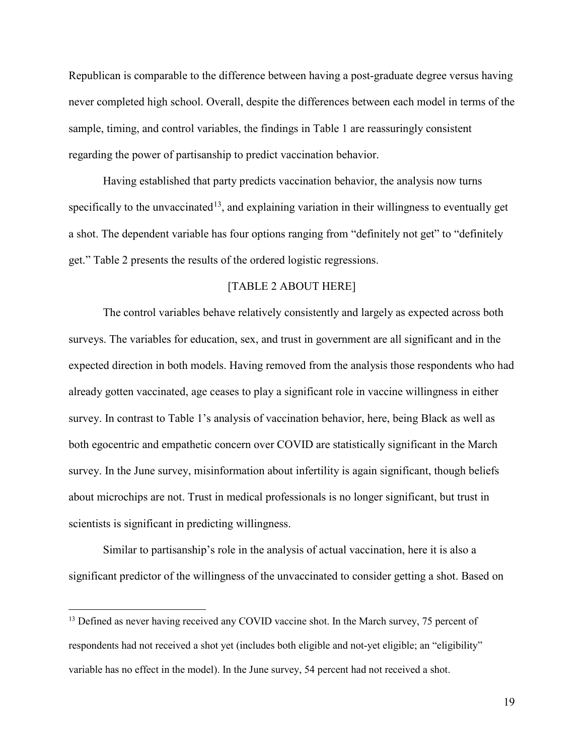Republican is comparable to the difference between having a post-graduate degree versus having never completed high school. Overall, despite the differences between each model in terms of the sample, timing, and control variables, the findings in Table 1 are reassuringly consistent regarding the power of partisanship to predict vaccination behavior.

Having established that party predicts vaccination behavior, the analysis now turns specifically to the unvaccinated<sup>[13](#page-19-0)</sup>, and explaining variation in their willingness to eventually get a shot. The dependent variable has four options ranging from "definitely not get" to "definitely get." Table 2 presents the results of the ordered logistic regressions.

### [TABLE 2 ABOUT HERE]

The control variables behave relatively consistently and largely as expected across both surveys. The variables for education, sex, and trust in government are all significant and in the expected direction in both models. Having removed from the analysis those respondents who had already gotten vaccinated, age ceases to play a significant role in vaccine willingness in either survey. In contrast to Table 1's analysis of vaccination behavior, here, being Black as well as both egocentric and empathetic concern over COVID are statistically significant in the March survey. In the June survey, misinformation about infertility is again significant, though beliefs about microchips are not. Trust in medical professionals is no longer significant, but trust in scientists is significant in predicting willingness.

Similar to partisanship's role in the analysis of actual vaccination, here it is also a significant predictor of the willingness of the unvaccinated to consider getting a shot. Based on

 $\overline{\phantom{a}}$ 

<span id="page-19-0"></span><sup>&</sup>lt;sup>13</sup> Defined as never having received any COVID vaccine shot. In the March survey, 75 percent of respondents had not received a shot yet (includes both eligible and not-yet eligible; an "eligibility" variable has no effect in the model). In the June survey, 54 percent had not received a shot.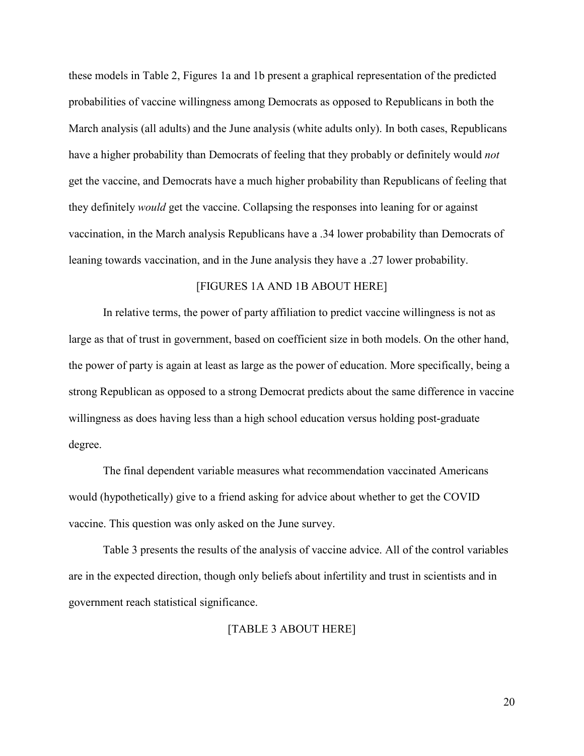these models in Table 2, Figures 1a and 1b present a graphical representation of the predicted probabilities of vaccine willingness among Democrats as opposed to Republicans in both the March analysis (all adults) and the June analysis (white adults only). In both cases, Republicans have a higher probability than Democrats of feeling that they probably or definitely would *not* get the vaccine, and Democrats have a much higher probability than Republicans of feeling that they definitely *would* get the vaccine. Collapsing the responses into leaning for or against vaccination, in the March analysis Republicans have a .34 lower probability than Democrats of leaning towards vaccination, and in the June analysis they have a .27 lower probability.

#### [FIGURES 1A AND 1B ABOUT HERE]

In relative terms, the power of party affiliation to predict vaccine willingness is not as large as that of trust in government, based on coefficient size in both models. On the other hand, the power of party is again at least as large as the power of education. More specifically, being a strong Republican as opposed to a strong Democrat predicts about the same difference in vaccine willingness as does having less than a high school education versus holding post-graduate degree.

The final dependent variable measures what recommendation vaccinated Americans would (hypothetically) give to a friend asking for advice about whether to get the COVID vaccine. This question was only asked on the June survey.

Table 3 presents the results of the analysis of vaccine advice. All of the control variables are in the expected direction, though only beliefs about infertility and trust in scientists and in government reach statistical significance.

[TABLE 3 ABOUT HERE]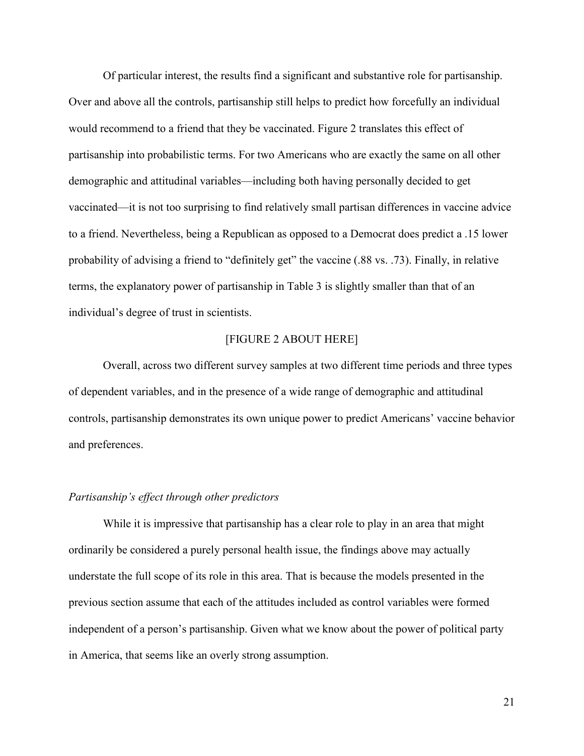Of particular interest, the results find a significant and substantive role for partisanship. Over and above all the controls, partisanship still helps to predict how forcefully an individual would recommend to a friend that they be vaccinated. Figure 2 translates this effect of partisanship into probabilistic terms. For two Americans who are exactly the same on all other demographic and attitudinal variables—including both having personally decided to get vaccinated—it is not too surprising to find relatively small partisan differences in vaccine advice to a friend. Nevertheless, being a Republican as opposed to a Democrat does predict a .15 lower probability of advising a friend to "definitely get" the vaccine (.88 vs. .73). Finally, in relative terms, the explanatory power of partisanship in Table 3 is slightly smaller than that of an individual's degree of trust in scientists.

#### [FIGURE 2 ABOUT HERE]

Overall, across two different survey samples at two different time periods and three types of dependent variables, and in the presence of a wide range of demographic and attitudinal controls, partisanship demonstrates its own unique power to predict Americans' vaccine behavior and preferences.

#### *Partisanship's effect through other predictors*

While it is impressive that partisanship has a clear role to play in an area that might ordinarily be considered a purely personal health issue, the findings above may actually understate the full scope of its role in this area. That is because the models presented in the previous section assume that each of the attitudes included as control variables were formed independent of a person's partisanship. Given what we know about the power of political party in America, that seems like an overly strong assumption.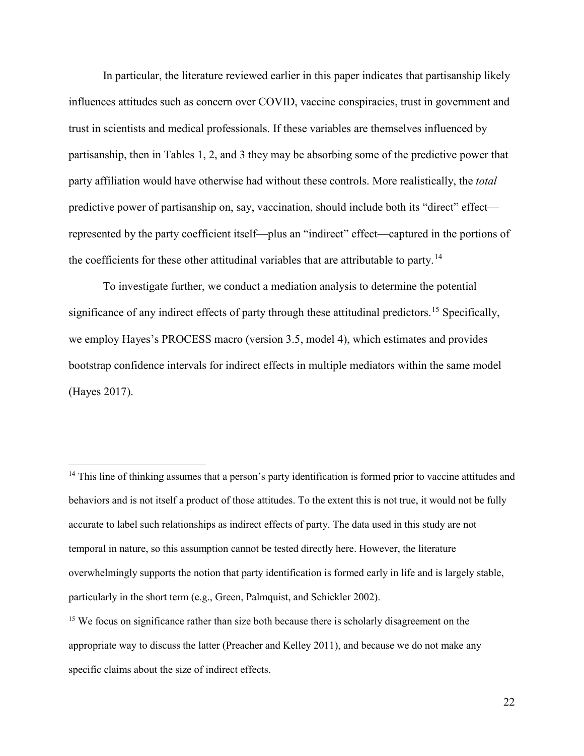In particular, the literature reviewed earlier in this paper indicates that partisanship likely influences attitudes such as concern over COVID, vaccine conspiracies, trust in government and trust in scientists and medical professionals. If these variables are themselves influenced by partisanship, then in Tables 1, 2, and 3 they may be absorbing some of the predictive power that party affiliation would have otherwise had without these controls. More realistically, the *total* predictive power of partisanship on, say, vaccination, should include both its "direct" effect represented by the party coefficient itself—plus an "indirect" effect—captured in the portions of the coefficients for these other attitudinal variables that are attributable to party.<sup>[14](#page-22-0)</sup>

To investigate further, we conduct a mediation analysis to determine the potential significance of any indirect effects of party through these attitudinal predictors.<sup>[15](#page-22-1)</sup> Specifically, we employ Hayes's PROCESS macro (version 3.5, model 4), which estimates and provides bootstrap confidence intervals for indirect effects in multiple mediators within the same model (Hayes 2017).

 $\overline{a}$ 

<span id="page-22-0"></span><sup>&</sup>lt;sup>14</sup> This line of thinking assumes that a person's party identification is formed prior to vaccine attitudes and behaviors and is not itself a product of those attitudes. To the extent this is not true, it would not be fully accurate to label such relationships as indirect effects of party. The data used in this study are not temporal in nature, so this assumption cannot be tested directly here. However, the literature overwhelmingly supports the notion that party identification is formed early in life and is largely stable, particularly in the short term (e.g., Green, Palmquist, and Schickler 2002).

<span id="page-22-1"></span><sup>&</sup>lt;sup>15</sup> We focus on significance rather than size both because there is scholarly disagreement on the appropriate way to discuss the latter (Preacher and Kelley 2011), and because we do not make any specific claims about the size of indirect effects.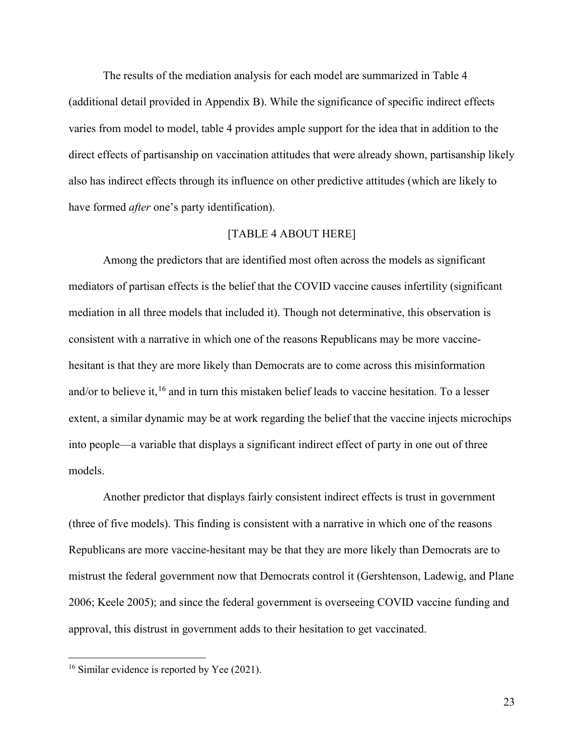The results of the mediation analysis for each model are summarized in Table 4 (additional detail provided in Appendix B). While the significance of specific indirect effects varies from model to model, table 4 provides ample support for the idea that in addition to the direct effects of partisanship on vaccination attitudes that were already shown, partisanship likely also has indirect effects through its influence on other predictive attitudes (which are likely to have formed *after* one's party identification).

### [TABLE 4 ABOUT HERE]

Among the predictors that are identified most often across the models as significant mediators of partisan effects is the belief that the COVID vaccine causes infertility (significant mediation in all three models that included it). Though not determinative, this observation is consistent with a narrative in which one of the reasons Republicans may be more vaccinehesitant is that they are more likely than Democrats are to come across this misinformation and/or to believe it,<sup>[16](#page-23-0)</sup> and in turn this mistaken belief leads to vaccine hesitation. To a lesser extent, a similar dynamic may be at work regarding the belief that the vaccine injects microchips into people—a variable that displays a significant indirect effect of party in one out of three models.

Another predictor that displays fairly consistent indirect effects is trust in government (three of five models). This finding is consistent with a narrative in which one of the reasons Republicans are more vaccine-hesitant may be that they are more likely than Democrats are to mistrust the federal government now that Democrats control it (Gershtenson, Ladewig, and Plane 2006; Keele 2005); and since the federal government is overseeing COVID vaccine funding and approval, this distrust in government adds to their hesitation to get vaccinated.

l

<span id="page-23-0"></span><sup>&</sup>lt;sup>16</sup> Similar evidence is reported by Yee (2021).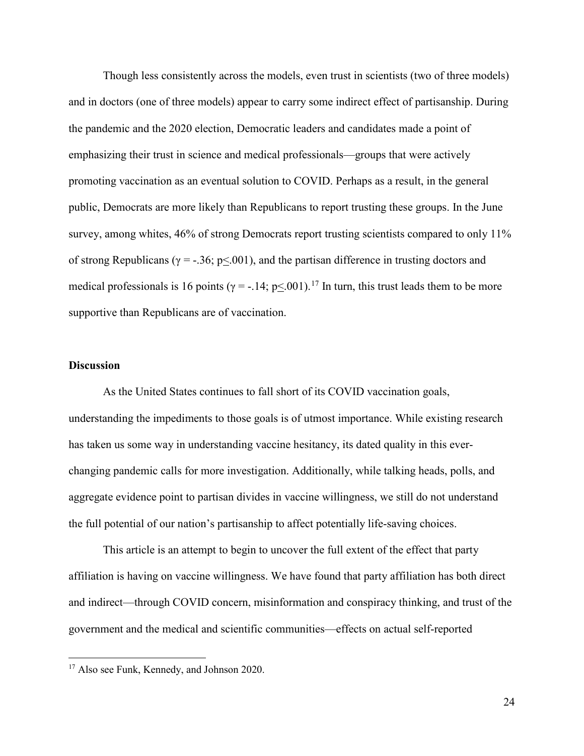Though less consistently across the models, even trust in scientists (two of three models) and in doctors (one of three models) appear to carry some indirect effect of partisanship. During the pandemic and the 2020 election, Democratic leaders and candidates made a point of emphasizing their trust in science and medical professionals—groups that were actively promoting vaccination as an eventual solution to COVID. Perhaps as a result, in the general public, Democrats are more likely than Republicans to report trusting these groups. In the June survey, among whites, 46% of strong Democrats report trusting scientists compared to only 11% of strong Republicans ( $\gamma = -.36$ ; p<.001), and the partisan difference in trusting doctors and medical professionals is 16 points ( $\gamma = -.14$ ; p<.001).<sup>[17](#page-24-0)</sup> In turn, this trust leads them to be more supportive than Republicans are of vaccination.

#### **Discussion**

l

As the United States continues to fall short of its COVID vaccination goals, understanding the impediments to those goals is of utmost importance. While existing research has taken us some way in understanding vaccine hesitancy, its dated quality in this everchanging pandemic calls for more investigation. Additionally, while talking heads, polls, and aggregate evidence point to partisan divides in vaccine willingness, we still do not understand the full potential of our nation's partisanship to affect potentially life-saving choices.

This article is an attempt to begin to uncover the full extent of the effect that party affiliation is having on vaccine willingness. We have found that party affiliation has both direct and indirect—through COVID concern, misinformation and conspiracy thinking, and trust of the government and the medical and scientific communities—effects on actual self-reported

<span id="page-24-0"></span><sup>&</sup>lt;sup>17</sup> Also see Funk, Kennedy, and Johnson 2020.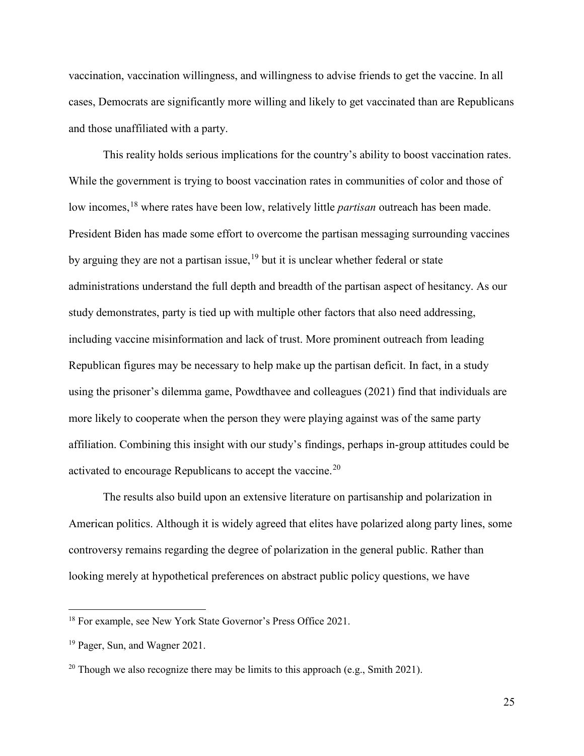vaccination, vaccination willingness, and willingness to advise friends to get the vaccine. In all cases, Democrats are significantly more willing and likely to get vaccinated than are Republicans and those unaffiliated with a party.

This reality holds serious implications for the country's ability to boost vaccination rates. While the government is trying to boost vaccination rates in communities of color and those of low incomes, [18](#page-25-0) where rates have been low, relatively little *partisan* outreach has been made. President Biden has made some effort to overcome the partisan messaging surrounding vaccines by arguing they are not a partisan issue,  $19$  but it is unclear whether federal or state administrations understand the full depth and breadth of the partisan aspect of hesitancy. As our study demonstrates, party is tied up with multiple other factors that also need addressing, including vaccine misinformation and lack of trust. More prominent outreach from leading Republican figures may be necessary to help make up the partisan deficit. In fact, in a study using the prisoner's dilemma game, Powdthavee and colleagues (2021) find that individuals are more likely to cooperate when the person they were playing against was of the same party affiliation. Combining this insight with our study's findings, perhaps in-group attitudes could be activated to encourage Republicans to accept the vaccine.<sup>[20](#page-25-2)</sup>

The results also build upon an extensive literature on partisanship and polarization in American politics. Although it is widely agreed that elites have polarized along party lines, some controversy remains regarding the degree of polarization in the general public. Rather than looking merely at hypothetical preferences on abstract public policy questions, we have

 $\overline{\phantom{a}}$ 

<span id="page-25-0"></span><sup>&</sup>lt;sup>18</sup> For example, see New York State Governor's Press Office 2021.

<span id="page-25-1"></span><sup>19</sup> Pager, Sun, and Wagner 2021.

<span id="page-25-2"></span><sup>&</sup>lt;sup>20</sup> Though we also recognize there may be limits to this approach (e.g., Smith 2021).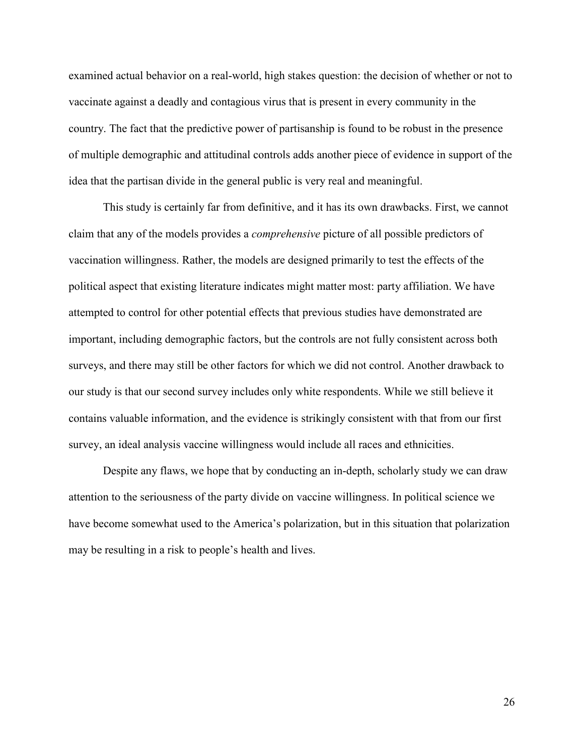examined actual behavior on a real-world, high stakes question: the decision of whether or not to vaccinate against a deadly and contagious virus that is present in every community in the country. The fact that the predictive power of partisanship is found to be robust in the presence of multiple demographic and attitudinal controls adds another piece of evidence in support of the idea that the partisan divide in the general public is very real and meaningful.

This study is certainly far from definitive, and it has its own drawbacks. First, we cannot claim that any of the models provides a *comprehensive* picture of all possible predictors of vaccination willingness. Rather, the models are designed primarily to test the effects of the political aspect that existing literature indicates might matter most: party affiliation. We have attempted to control for other potential effects that previous studies have demonstrated are important, including demographic factors, but the controls are not fully consistent across both surveys, and there may still be other factors for which we did not control. Another drawback to our study is that our second survey includes only white respondents. While we still believe it contains valuable information, and the evidence is strikingly consistent with that from our first survey, an ideal analysis vaccine willingness would include all races and ethnicities.

Despite any flaws, we hope that by conducting an in-depth, scholarly study we can draw attention to the seriousness of the party divide on vaccine willingness. In political science we have become somewhat used to the America's polarization, but in this situation that polarization may be resulting in a risk to people's health and lives.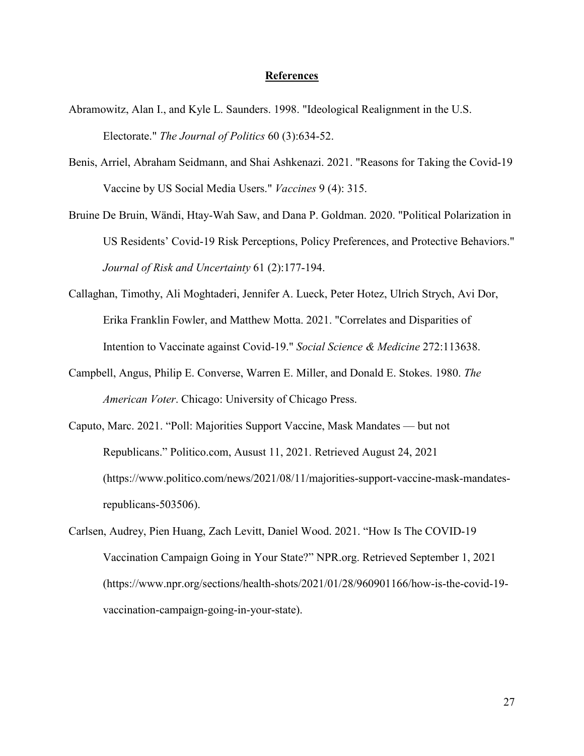#### **References**

- Abramowitz, Alan I., and Kyle L. Saunders. 1998. "Ideological Realignment in the U.S. Electorate." *The Journal of Politics* 60 (3):634-52.
- Benis, Arriel, Abraham Seidmann, and Shai Ashkenazi. 2021. "Reasons for Taking the Covid-19 Vaccine by US Social Media Users." *Vaccines* 9 (4): 315.
- Bruine De Bruin, Wändi, Htay-Wah Saw, and Dana P. Goldman. 2020. "Political Polarization in US Residents' Covid-19 Risk Perceptions, Policy Preferences, and Protective Behaviors." *Journal of Risk and Uncertainty* 61 (2):177-194.
- Callaghan, Timothy, Ali Moghtaderi, Jennifer A. Lueck, Peter Hotez, Ulrich Strych, Avi Dor, Erika Franklin Fowler, and Matthew Motta. 2021. "Correlates and Disparities of Intention to Vaccinate against Covid-19." *Social Science & Medicine* 272:113638.
- Campbell, Angus, Philip E. Converse, Warren E. Miller, and Donald E. Stokes. 1980. *The American Voter*. Chicago: University of Chicago Press.
- Caputo, Marc. 2021. "Poll: Majorities Support Vaccine, Mask Mandates but not Republicans." Politico.com, Ausust 11, 2021. Retrieved August 24, 2021 (https://www.politico.com/news/2021/08/11/majorities-support-vaccine-mask-mandatesrepublicans-503506).
- Carlsen, Audrey, Pien Huang, Zach Levitt, Daniel Wood. 2021. "How Is The COVID-19 Vaccination Campaign Going in Your State?" NPR.org. Retrieved September 1, 2021 (https://www.npr.org/sections/health-shots/2021/01/28/960901166/how-is-the-covid-19 vaccination-campaign-going-in-your-state).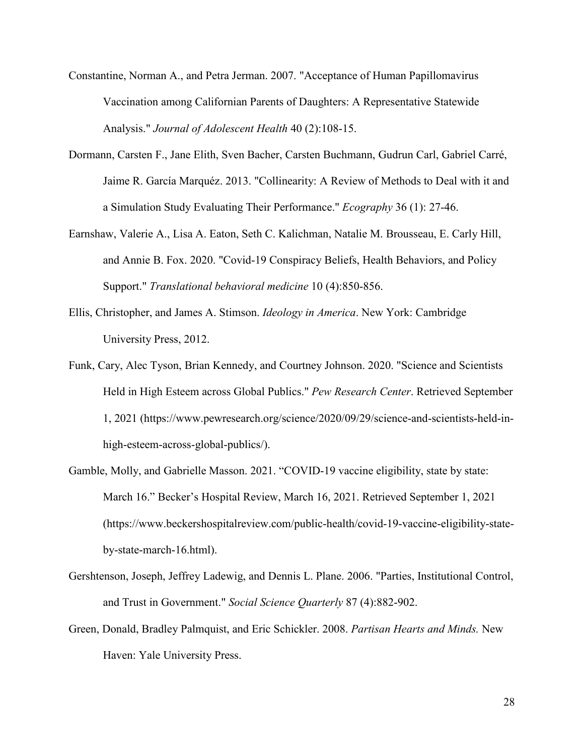- Constantine, Norman A., and Petra Jerman. 2007. "Acceptance of Human Papillomavirus Vaccination among Californian Parents of Daughters: A Representative Statewide Analysis." *Journal of Adolescent Health* 40 (2):108-15.
- Dormann, Carsten F., Jane Elith, Sven Bacher, Carsten Buchmann, Gudrun Carl, Gabriel Carré, Jaime R. García Marquéz. 2013. "Collinearity: A Review of Methods to Deal with it and a Simulation Study Evaluating Their Performance." *Ecography* 36 (1): 27-46.
- Earnshaw, Valerie A., Lisa A. Eaton, Seth C. Kalichman, Natalie M. Brousseau, E. Carly Hill, and Annie B. Fox. 2020. "Covid-19 Conspiracy Beliefs, Health Behaviors, and Policy Support." *Translational behavioral medicine* 10 (4):850-856.
- Ellis, Christopher, and James A. Stimson. *Ideology in America*. New York: Cambridge University Press, 2012.
- Funk, Cary, Alec Tyson, Brian Kennedy, and Courtney Johnson. 2020. "Science and Scientists Held in High Esteem across Global Publics." *Pew Research Center*. Retrieved September 1, 2021 (https://www.pewresearch.org/science/2020/09/29/science-and-scientists-held-inhigh-esteem-across-global-publics/).
- Gamble, Molly, and Gabrielle Masson. 2021. "COVID-19 vaccine eligibility, state by state: March 16." Becker's Hospital Review, March 16, 2021. Retrieved September 1, 2021 (https://www.beckershospitalreview.com/public-health/covid-19-vaccine-eligibility-stateby-state-march-16.html).
- Gershtenson, Joseph, Jeffrey Ladewig, and Dennis L. Plane. 2006. "Parties, Institutional Control, and Trust in Government." *Social Science Quarterly* 87 (4):882-902.
- Green, Donald, Bradley Palmquist, and Eric Schickler. 2008. *Partisan Hearts and Minds.* New Haven: Yale University Press.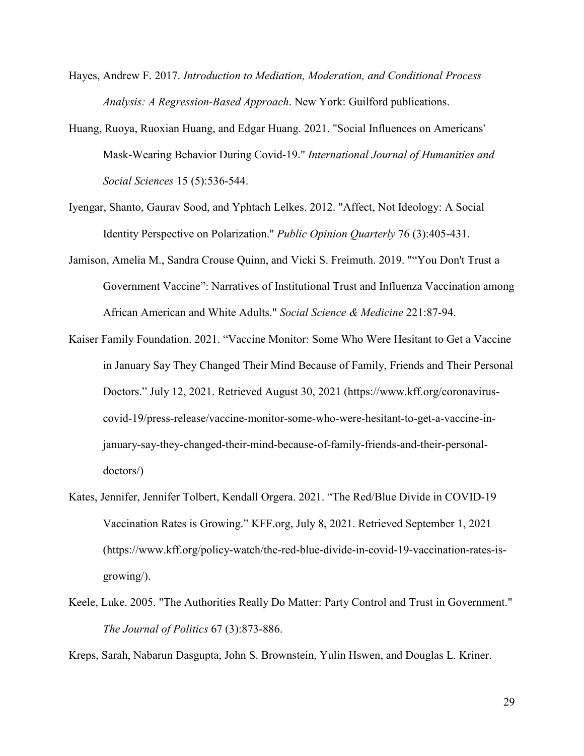- Hayes, Andrew F. 2017. *Introduction to Mediation, Moderation, and Conditional Process Analysis: A Regression-Based Approach*. New York: Guilford publications.
- Huang, Ruoya, Ruoxian Huang, and Edgar Huang. 2021. "Social Influences on Americans' Mask-Wearing Behavior During Covid-19." *International Journal of Humanities and Social Sciences* 15 (5):536-544.
- Iyengar, Shanto, Gaurav Sood, and Yphtach Lelkes. 2012. "Affect, Not Ideology: A Social Identity Perspective on Polarization." *Public Opinion Quarterly* 76 (3):405-431.
- Jamison, Amelia M., Sandra Crouse Quinn, and Vicki S. Freimuth. 2019. ""You Don't Trust a Government Vaccine": Narratives of Institutional Trust and Influenza Vaccination among African American and White Adults." *Social Science & Medicine* 221:87-94.
- Kaiser Family Foundation. 2021. "Vaccine Monitor: Some Who Were Hesitant to Get a Vaccine in January Say They Changed Their Mind Because of Family, Friends and Their Personal Doctors." July 12, 2021. Retrieved August 30, 2021 (https://www.kff.org/coronaviruscovid-19/press-release/vaccine-monitor-some-who-were-hesitant-to-get-a-vaccine-injanuary-say-they-changed-their-mind-because-of-family-friends-and-their-personaldoctors/)
- Kates, Jennifer, Jennifer Tolbert, Kendall Orgera. 2021. "The Red/Blue Divide in COVID-19 Vaccination Rates is Growing." KFF.org, July 8, 2021. Retrieved September 1, 2021 (https://www.kff.org/policy-watch/the-red-blue-divide-in-covid-19-vaccination-rates-isgrowing/).
- Keele, Luke. 2005. "The Authorities Really Do Matter: Party Control and Trust in Government." *The Journal of Politics* 67 (3):873-886.

Kreps, Sarah, Nabarun Dasgupta, John S. Brownstein, Yulin Hswen, and Douglas L. Kriner.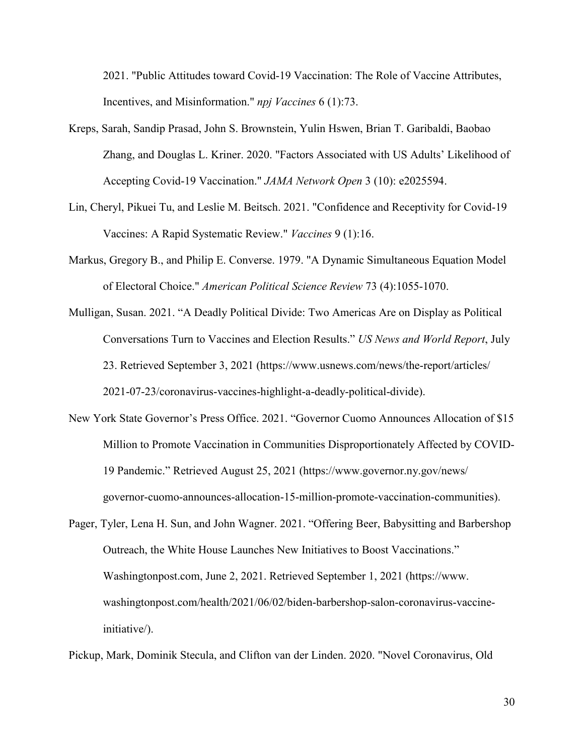2021. "Public Attitudes toward Covid-19 Vaccination: The Role of Vaccine Attributes, Incentives, and Misinformation." *npj Vaccines* 6 (1):73.

- Kreps, Sarah, Sandip Prasad, John S. Brownstein, Yulin Hswen, Brian T. Garibaldi, Baobao Zhang, and Douglas L. Kriner. 2020. "Factors Associated with US Adults' Likelihood of Accepting Covid-19 Vaccination." *JAMA Network Open* 3 (10): e2025594.
- Lin, Cheryl, Pikuei Tu, and Leslie M. Beitsch. 2021. "Confidence and Receptivity for Covid-19 Vaccines: A Rapid Systematic Review." *Vaccines* 9 (1):16.
- Markus, Gregory B., and Philip E. Converse. 1979. "A Dynamic Simultaneous Equation Model of Electoral Choice." *American Political Science Review* 73 (4):1055-1070.
- Mulligan, Susan. 2021. "A Deadly Political Divide: Two Americas Are on Display as Political Conversations Turn to Vaccines and Election Results." *US News and World Report*, July 23. Retrieved September 3, 2021 (https://www.usnews.com/news/the-report/articles/ 2021-07-23/coronavirus-vaccines-highlight-a-deadly-political-divide).
- New York State Governor's Press Office. 2021. "Governor Cuomo Announces Allocation of \$15 Million to Promote Vaccination in Communities Disproportionately Affected by COVID-19 Pandemic." Retrieved August 25, 2021 (https://www.governor.ny.gov/news/ governor-cuomo-announces-allocation-15-million-promote-vaccination-communities).
- Pager, Tyler, Lena H. Sun, and John Wagner. 2021. "Offering Beer, Babysitting and Barbershop Outreach, the White House Launches New Initiatives to Boost Vaccinations." Washingtonpost.com, June 2, 2021. Retrieved September 1, 2021 (https://www. washingtonpost.com/health/2021/06/02/biden-barbershop-salon-coronavirus-vaccineinitiative/).

Pickup, Mark, Dominik Stecula, and Clifton van der Linden. 2020. "Novel Coronavirus, Old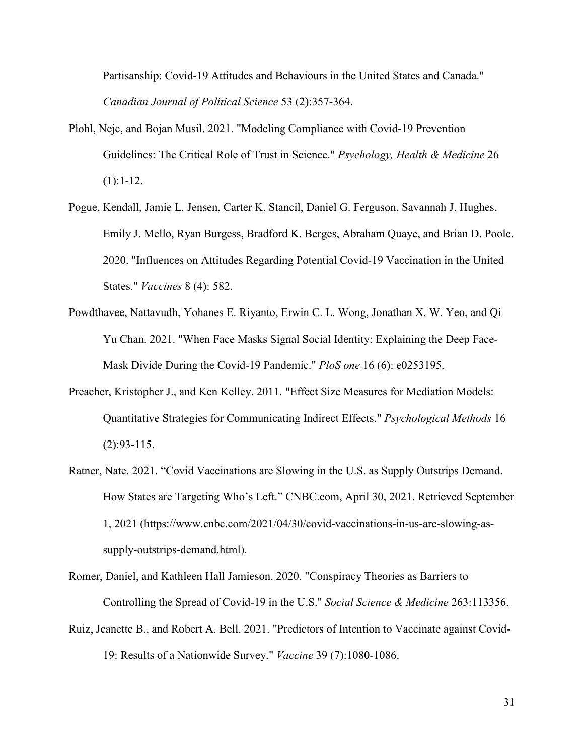Partisanship: Covid-19 Attitudes and Behaviours in the United States and Canada." *Canadian Journal of Political Science* 53 (2):357-364.

- Plohl, Nejc, and Bojan Musil. 2021. "Modeling Compliance with Covid-19 Prevention Guidelines: The Critical Role of Trust in Science." *Psychology, Health & Medicine* 26  $(1):1-12.$
- Pogue, Kendall, Jamie L. Jensen, Carter K. Stancil, Daniel G. Ferguson, Savannah J. Hughes, Emily J. Mello, Ryan Burgess, Bradford K. Berges, Abraham Quaye, and Brian D. Poole. 2020. "Influences on Attitudes Regarding Potential Covid-19 Vaccination in the United States." *Vaccines* 8 (4): 582.
- Powdthavee, Nattavudh, Yohanes E. Riyanto, Erwin C. L. Wong, Jonathan X. W. Yeo, and Qi Yu Chan. 2021. "When Face Masks Signal Social Identity: Explaining the Deep Face-Mask Divide During the Covid-19 Pandemic." *PloS one* 16 (6): e0253195.
- Preacher, Kristopher J., and Ken Kelley. 2011. "Effect Size Measures for Mediation Models: Quantitative Strategies for Communicating Indirect Effects." *Psychological Methods* 16 (2):93-115.
- Ratner, Nate. 2021. "Covid Vaccinations are Slowing in the U.S. as Supply Outstrips Demand. How States are Targeting Who's Left." CNBC.com, April 30, 2021. Retrieved September 1, 2021 (https://www.cnbc.com/2021/04/30/covid-vaccinations-in-us-are-slowing-assupply-outstrips-demand.html).
- Romer, Daniel, and Kathleen Hall Jamieson. 2020. "Conspiracy Theories as Barriers to Controlling the Spread of Covid-19 in the U.S." *Social Science & Medicine* 263:113356.
- Ruiz, Jeanette B., and Robert A. Bell. 2021. "Predictors of Intention to Vaccinate against Covid-19: Results of a Nationwide Survey." *Vaccine* 39 (7):1080-1086.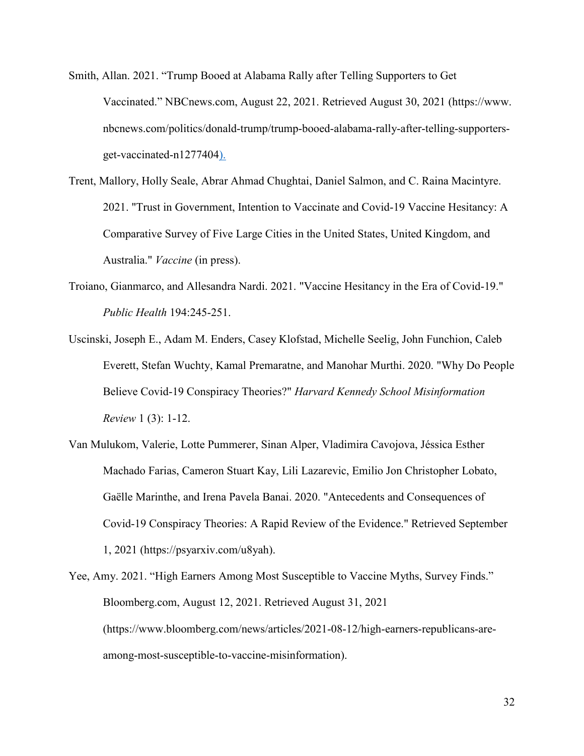- Smith, Allan. 2021. "Trump Booed at Alabama Rally after Telling Supporters to Get Vaccinated." NBCnews.com, August 22, 2021. Retrieved August 30, 2021 (https://www. nbcnews.com/politics/donald-trump/trump-booed-alabama-rally-after-telling-supportersget-vaccinated-n1277404).
- Trent, Mallory, Holly Seale, Abrar Ahmad Chughtai, Daniel Salmon, and C. Raina Macintyre. 2021. "Trust in Government, Intention to Vaccinate and Covid-19 Vaccine Hesitancy: A Comparative Survey of Five Large Cities in the United States, United Kingdom, and Australia." *Vaccine* (in press).
- Troiano, Gianmarco, and Allesandra Nardi. 2021. "Vaccine Hesitancy in the Era of Covid-19." *Public Health* 194:245-251.
- Uscinski, Joseph E., Adam M. Enders, Casey Klofstad, Michelle Seelig, John Funchion, Caleb Everett, Stefan Wuchty, Kamal Premaratne, and Manohar Murthi. 2020. "Why Do People Believe Covid-19 Conspiracy Theories?" *Harvard Kennedy School Misinformation Review* 1 (3): 1-12.
- Van Mulukom, Valerie, Lotte Pummerer, Sinan Alper, Vladimira Cavojova, Jéssica Esther Machado Farias, Cameron Stuart Kay, Lili Lazarevic, Emilio Jon Christopher Lobato, Gaëlle Marinthe, and Irena Pavela Banai. 2020. "Antecedents and Consequences of Covid-19 Conspiracy Theories: A Rapid Review of the Evidence." Retrieved September 1, 2021 (https://psyarxiv.com/u8yah).
- Yee, Amy. 2021. "High Earners Among Most Susceptible to Vaccine Myths, Survey Finds." Bloomberg.com, August 12, 2021. Retrieved August 31, 2021 (https://www.bloomberg.com/news/articles/2021-08-12/high-earners-republicans-areamong-most-susceptible-to-vaccine-misinformation).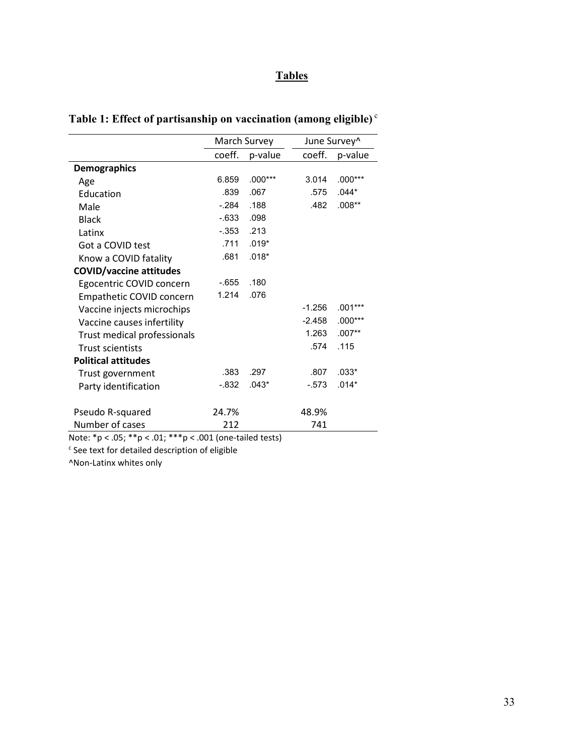## **Tables**

|                                                           | March Survey |           |          | June Survey^ |  |  |
|-----------------------------------------------------------|--------------|-----------|----------|--------------|--|--|
|                                                           | coeff.       | p-value   | coeff.   | p-value      |  |  |
| <b>Demographics</b>                                       |              |           |          |              |  |  |
| Age                                                       | 6.859        | $.000***$ | 3.014    | $.000***$    |  |  |
| Education                                                 | .839         | .067      | .575     | $.044*$      |  |  |
| Male                                                      | $-284$       | .188      | .482     | $.008**$     |  |  |
| <b>Black</b>                                              | $-633$       | .098      |          |              |  |  |
| Latinx                                                    | $-.353$      | .213      |          |              |  |  |
| Got a COVID test                                          | .711         | $.019*$   |          |              |  |  |
| Know a COVID fatality                                     | .681         | $.018*$   |          |              |  |  |
| <b>COVID/vaccine attitudes</b>                            |              |           |          |              |  |  |
| Egocentric COVID concern                                  | $-655$       | .180      |          |              |  |  |
| Empathetic COVID concern                                  | 1.214        | .076      |          |              |  |  |
| Vaccine injects microchips                                |              |           | $-1.256$ | $.001***$    |  |  |
| Vaccine causes infertility                                |              |           | $-2.458$ | $.000***$    |  |  |
| Trust medical professionals                               |              |           | 1.263    | $.007**$     |  |  |
| <b>Trust scientists</b>                                   |              |           | .574     | .115         |  |  |
| <b>Political attitudes</b>                                |              |           |          |              |  |  |
| Trust government                                          | .383         | .297      | .807     | $.033*$      |  |  |
| Party identification                                      | $-0.832$     | $.043*$   | $-573$   | $.014*$      |  |  |
| Pseudo R-squared                                          | 24.7%        |           | 48.9%    |              |  |  |
| Number of cases                                           | 212          |           | 741      |              |  |  |
| Note: *p < .05; **p < .01; ***p < .001 (one-tailed tests) |              |           |          |              |  |  |

# **Table 1: Effect of partisanship on vaccination (among eligible)** <sup>c</sup>

 $c$  See text for detailed description of eligible

^Non-Latinx whites only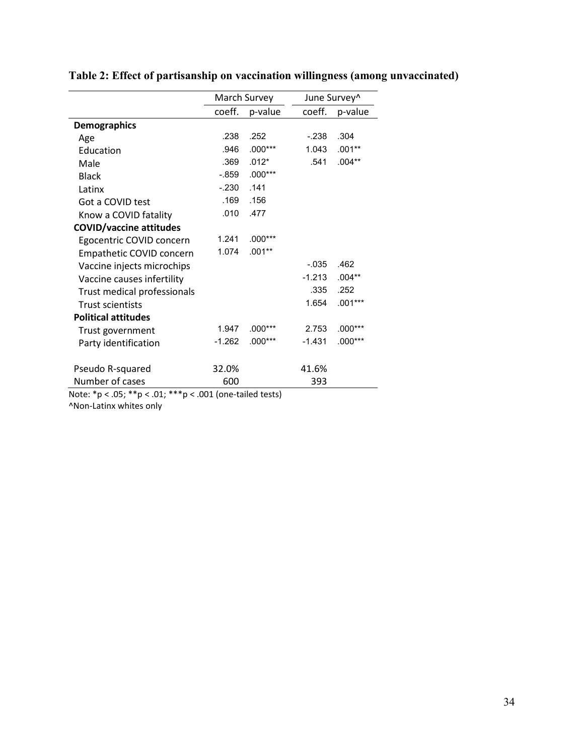|                                | March Survey |                                               |          | June Survey^ |
|--------------------------------|--------------|-----------------------------------------------|----------|--------------|
|                                | coeff.       | p-value                                       | coeff.   | p-value      |
| <b>Demographics</b>            |              |                                               |          |              |
| Age                            | .238         | .252                                          | $-.238$  | .304         |
| Education                      | .946         | $.000***$                                     | 1.043    | $.001**$     |
| Male                           | .369         | $.012*$                                       | .541     | $.004**$     |
| <b>Black</b>                   | $-0.859$     | $.000***$                                     |          |              |
| Latinx                         | $-.230$      | .141                                          |          |              |
| Got a COVID test               | .169         | .156                                          |          |              |
| Know a COVID fatality          | .010         | .477                                          |          |              |
| <b>COVID/vaccine attitudes</b> |              |                                               |          |              |
| Egocentric COVID concern       | 1.241        | $.000***$                                     |          |              |
| Empathetic COVID concern       | 1.074        | $.001**$                                      |          |              |
| Vaccine injects microchips     |              |                                               | $-0.035$ | .462         |
| Vaccine causes infertility     |              |                                               | $-1.213$ | $.004**$     |
| Trust medical professionals    |              |                                               | .335     | .252         |
| <b>Trust scientists</b>        |              |                                               | 1.654    | $.001***$    |
| <b>Political attitudes</b>     |              |                                               |          |              |
| Trust government               | 1.947        | $.000***$                                     | 2.753    | $.000***$    |
| Party identification           | $-1.262$     | $.000***$                                     | $-1.431$ | $.000***$    |
| Pseudo R-squared               | 32.0%        |                                               | 41.6%    |              |
| Number of cases                | 600<br>0.04L | $\pm$ 2.1 $\pm$ 2.1 $\pm$ 2.1 $\pm$ 2.1 $\pm$ | 393      |              |

# **Table 2: Effect of partisanship on vaccination willingness (among unvaccinated)**

Note: \*p < .05; \*\*p < .01; \*\*\*p < .001 (one-tailed tests) ^Non-Latinx whites only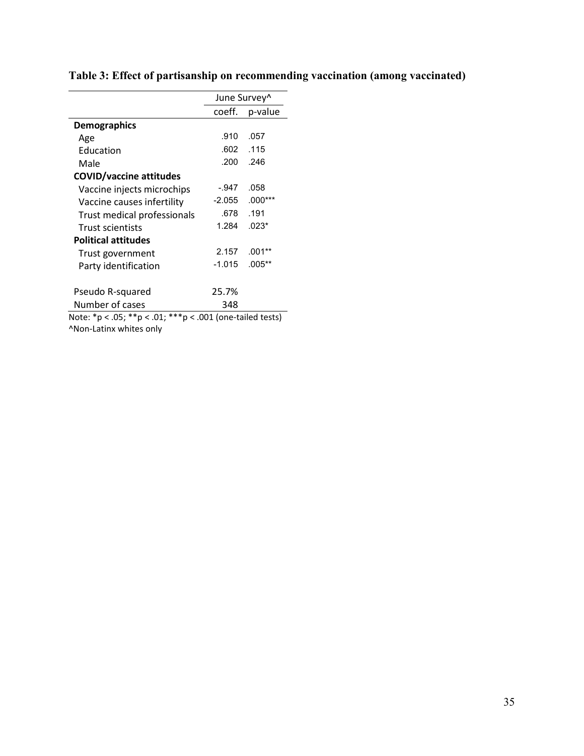|                                                           |          | June Survey <sup>^</sup> |
|-----------------------------------------------------------|----------|--------------------------|
|                                                           | coeff.   | p-value                  |
| <b>Demographics</b>                                       |          |                          |
| Age                                                       | .910     | .057                     |
| Education                                                 | .602     | .115                     |
| Male                                                      | .200     | .246                     |
| <b>COVID/vaccine attitudes</b>                            |          |                          |
| Vaccine injects microchips                                | -.947    | .058                     |
| Vaccine causes infertility                                | -2.055   | $.000***$                |
| Trust medical professionals                               | .678     | .191                     |
| <b>Trust scientists</b>                                   | 1.284    | $.023*$                  |
| <b>Political attitudes</b>                                |          |                          |
| Trust government                                          | 2.157    | $.001**$                 |
| Party identification                                      | $-1.015$ | $.005**$                 |
|                                                           |          |                          |
| Pseudo R-squared                                          | 25.7%    |                          |
| Number of cases                                           | 348      |                          |
| Note: *p < .05; **p < .01; ***p < .001 (one-tailed tests) |          |                          |
| ^Non-Latinx whites only                                   |          |                          |

# **Table 3: Effect of partisanship on recommending vaccination (among vaccinated)**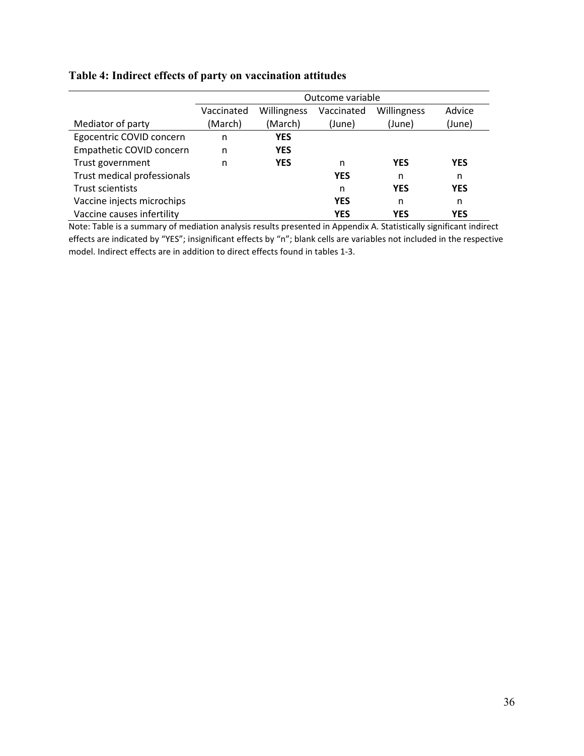|                             | Outcome variable |             |            |             |            |
|-----------------------------|------------------|-------------|------------|-------------|------------|
|                             | Vaccinated       | Willingness | Vaccinated | Willingness | Advice     |
| Mediator of party           | (March)          | (March)     | (June)     | (June)      | (June)     |
| Egocentric COVID concern    | n                | <b>YES</b>  |            |             |            |
| Empathetic COVID concern    | n                | <b>YES</b>  |            |             |            |
| Trust government            | n                | <b>YES</b>  | n          | <b>YES</b>  | <b>YES</b> |
| Trust medical professionals |                  |             | <b>YES</b> | n           | n          |
| Trust scientists            |                  |             | n          | <b>YES</b>  | <b>YES</b> |
| Vaccine injects microchips  |                  |             | <b>YES</b> | n           | n          |
| Vaccine causes infertility  |                  |             | <b>YES</b> | <b>YES</b>  | <b>YES</b> |

## **Table 4: Indirect effects of party on vaccination attitudes**

Note: Table is a summary of mediation analysis results presented in Appendix A. Statistically significant indirect effects are indicated by "YES"; insignificant effects by "n"; blank cells are variables not included in the respective model. Indirect effects are in addition to direct effects found in tables 1-3.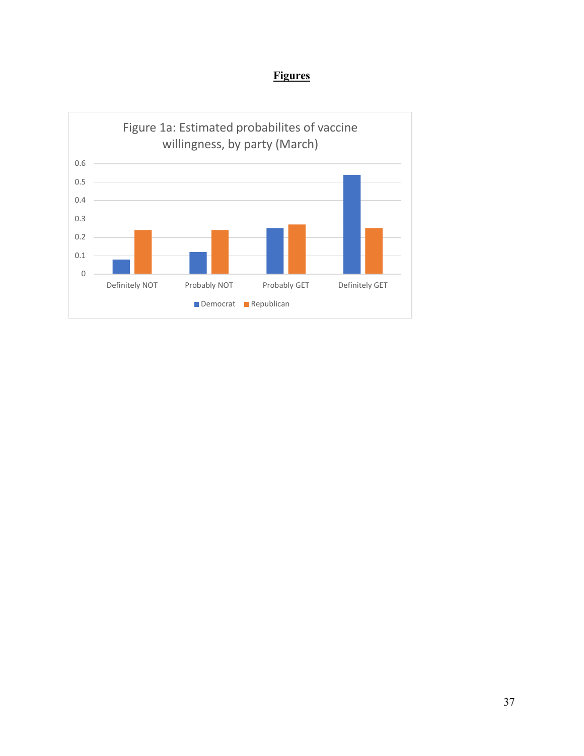# **Figures**

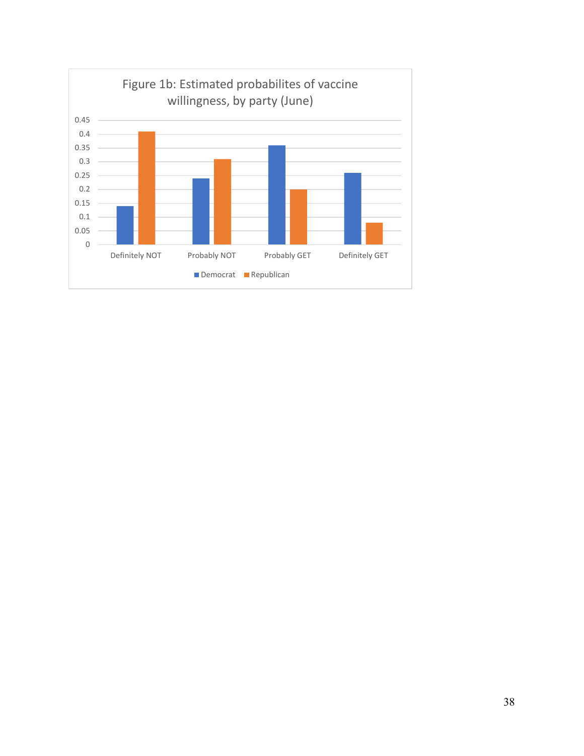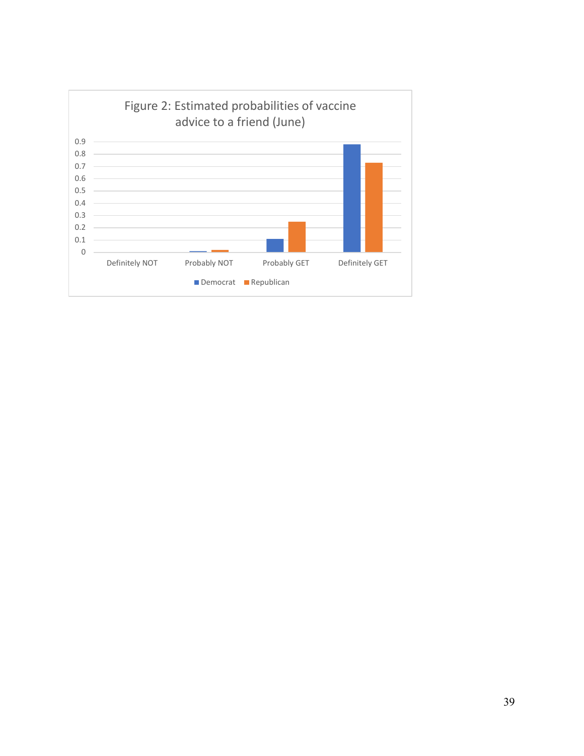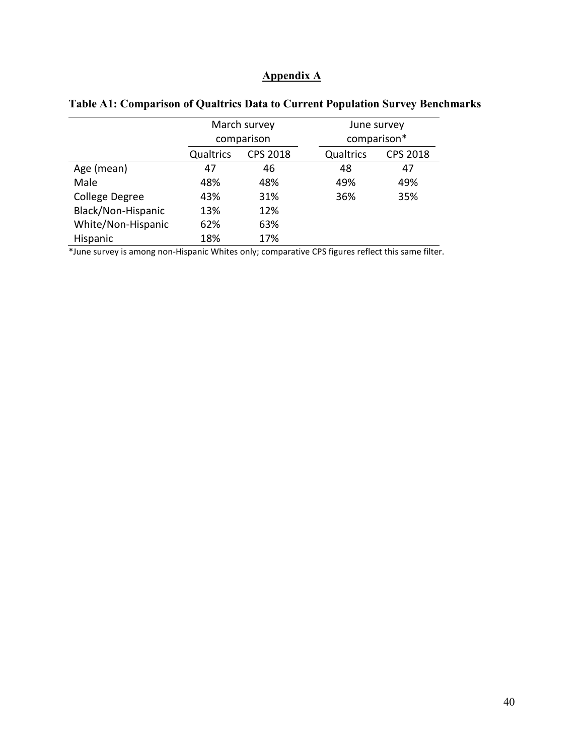### **Appendix A**

|                    | March survey                 |     |             | June survey     |
|--------------------|------------------------------|-----|-------------|-----------------|
|                    | comparison                   |     | comparison* |                 |
|                    | Qualtrics<br><b>CPS 2018</b> |     | Qualtrics   | <b>CPS 2018</b> |
| Age (mean)         | 47                           | 46  | 48          | 47              |
| Male               | 48%                          | 48% | 49%         | 49%             |
| College Degree     | 43%                          | 31% | 36%         | 35%             |
| Black/Non-Hispanic | 13%                          | 12% |             |                 |
| White/Non-Hispanic | 62%                          | 63% |             |                 |
| Hispanic           | 18%                          | 17% |             |                 |

### **Table A1: Comparison of Qualtrics Data to Current Population Survey Benchmarks**

\*June survey is among non-Hispanic Whites only; comparative CPS figures reflect this same filter.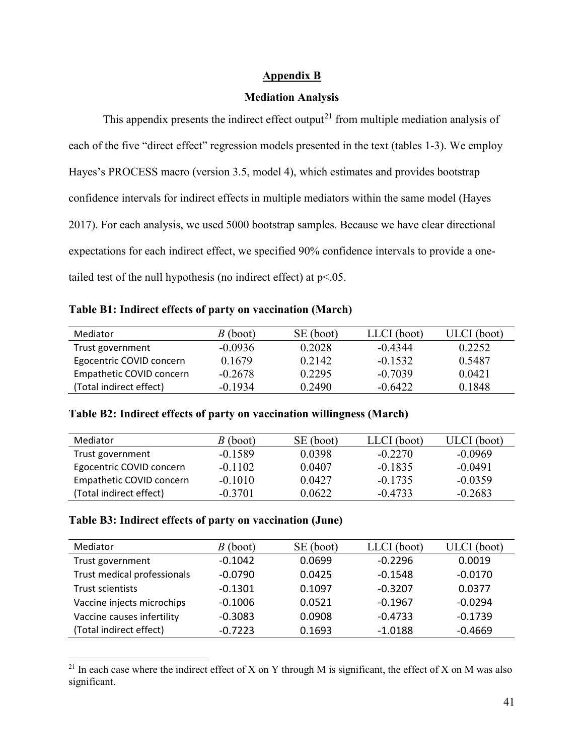### **Appendix B**

### **Mediation Analysis**

This appendix presents the indirect effect output<sup>[21](#page-41-0)</sup> from multiple mediation analysis of each of the five "direct effect" regression models presented in the text (tables 1-3). We employ Hayes's PROCESS macro (version 3.5, model 4), which estimates and provides bootstrap confidence intervals for indirect effects in multiple mediators within the same model (Hayes 2017). For each analysis, we used 5000 bootstrap samples. Because we have clear directional expectations for each indirect effect, we specified 90% confidence intervals to provide a onetailed test of the null hypothesis (no indirect effect) at  $p<0.05$ .

### **Table B1: Indirect effects of party on vaccination (March)**

| Mediator                 | $B$ (boot) | SE (boot) | LLCI (boot) | ULCI (boot) |
|--------------------------|------------|-----------|-------------|-------------|
| Trust government         | $-0.0936$  | 0.2028    | $-0.4344$   | 0.2252      |
| Egocentric COVID concern | 0.1679     | 0.2142    | $-0.1532$   | 0.5487      |
| Empathetic COVID concern | $-0.2678$  | 0.2295    | $-0.7039$   | 0.0421      |
| (Total indirect effect)  | $-0.1934$  | 0.2490    | $-0.6422$   | 0.1848      |

### **Table B2: Indirect effects of party on vaccination willingness (March)**

| Mediator                 | $B$ (boot) | SE (boot) | LLCI (boot) | ULCI (boot) |
|--------------------------|------------|-----------|-------------|-------------|
| Trust government         | $-0.1589$  | 0.0398    | $-0.2270$   | $-0.0969$   |
| Egocentric COVID concern | $-0.1102$  | 0.0407    | $-0.1835$   | $-0.0491$   |
| Empathetic COVID concern | $-0.1010$  | 0.0427    | $-0.1735$   | $-0.0359$   |
| (Total indirect effect)  | $-0.3701$  | 0.0622    | $-0.4733$   | $-0.2683$   |

### **Table B3: Indirect effects of party on vaccination (June)**

l

| Mediator                    | $B$ (boot) | SE (boot) | LLCI (boot) | ULCI (boot) |
|-----------------------------|------------|-----------|-------------|-------------|
| Trust government            | $-0.1042$  | 0.0699    | $-0.2296$   | 0.0019      |
| Trust medical professionals | $-0.0790$  | 0.0425    | $-0.1548$   | $-0.0170$   |
| Trust scientists            | $-0.1301$  | 0.1097    | $-0.3207$   | 0.0377      |
| Vaccine injects microchips  | $-0.1006$  | 0.0521    | $-0.1967$   | $-0.0294$   |
| Vaccine causes infertility  | $-0.3083$  | 0.0908    | $-0.4733$   | $-0.1739$   |
| (Total indirect effect)     | $-0.7223$  | 0.1693    | $-1.0188$   | $-0.4669$   |

<span id="page-41-0"></span><sup>&</sup>lt;sup>21</sup> In each case where the indirect effect of X on Y through M is significant, the effect of X on M was also significant.